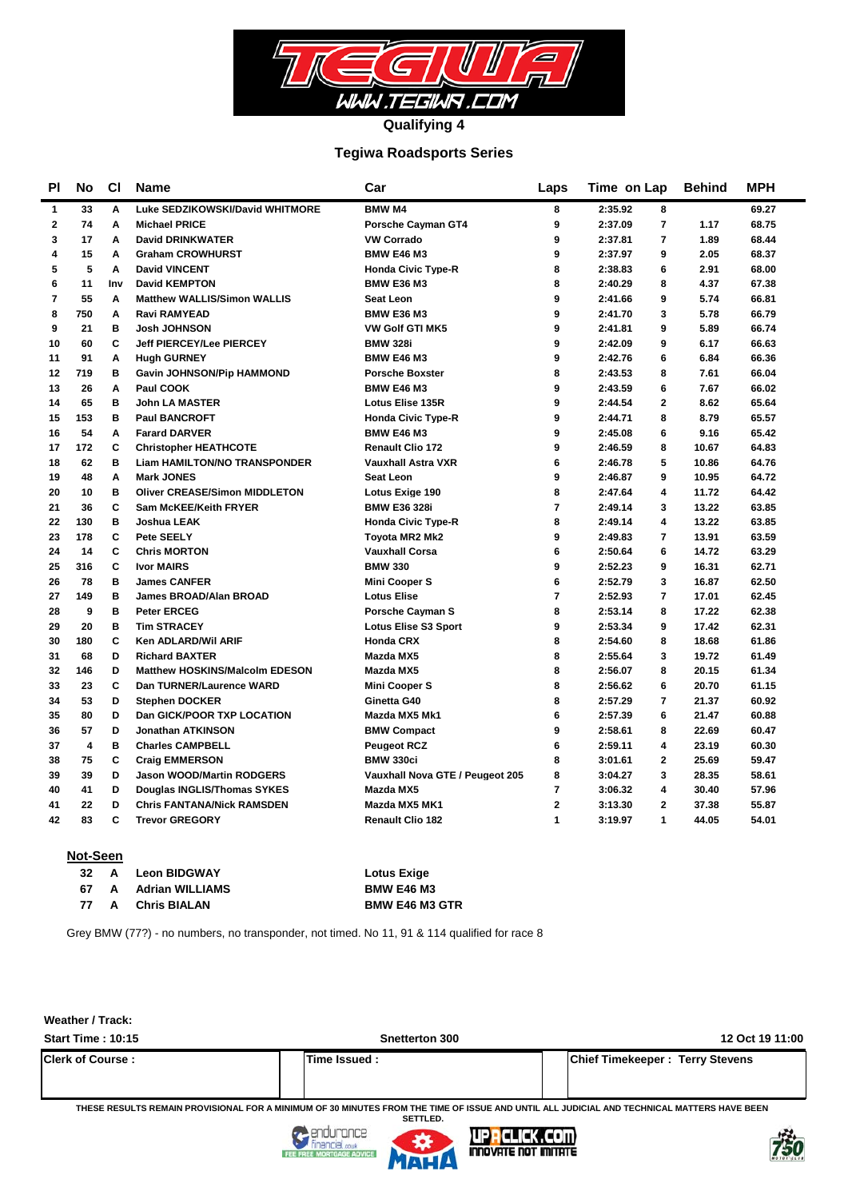

#### **Tegiwa Roadsports Series**

| <b>PI</b>               | No                      | <b>CI</b> | <b>Name</b>                           | Car                             | Laps           | Time on Lap               | <b>Behind</b> | MPH   |
|-------------------------|-------------------------|-----------|---------------------------------------|---------------------------------|----------------|---------------------------|---------------|-------|
| $\mathbf{1}$            | 33                      | A         | Luke SEDZIKOWSKI/David WHITMORE       | <b>BMW M4</b>                   | 8              | 2:35.92<br>8              |               | 69.27 |
| $\overline{\mathbf{2}}$ | 74                      | A         | <b>Michael PRICE</b>                  | Porsche Cayman GT4              | 9              | 2:37.09<br>$\overline{7}$ | 1.17          | 68.75 |
| 3                       | 17                      | A         | <b>David DRINKWATER</b>               | <b>VW Corrado</b>               | 9              | $\overline{7}$<br>2:37.81 | 1.89          | 68.44 |
| 4                       | 15                      | A         | <b>Graham CROWHURST</b>               | <b>BMW E46 M3</b>               | 9              | 9<br>2:37.97              | 2.05          | 68.37 |
| 5                       | 5                       | A         | <b>David VINCENT</b>                  | <b>Honda Civic Type-R</b>       | 8              | 2:38.83<br>6              | 2.91          | 68.00 |
| 6                       | 11                      | Inv       | <b>David KEMPTON</b>                  | <b>BMW E36 M3</b>               | 8              | 2:40.29<br>8              | 4.37          | 67.38 |
| $\overline{7}$          | 55                      | A         | <b>Matthew WALLIS/Simon WALLIS</b>    | <b>Seat Leon</b>                | 9              | 2:41.66<br>9              | 5.74          | 66.81 |
| 8                       | 750                     | A         | <b>Ravi RAMYEAD</b>                   | <b>BMW E36 M3</b>               | 9              | 3<br>2:41.70              | 5.78          | 66.79 |
| 9                       | 21                      | в         | <b>Josh JOHNSON</b>                   | <b>VW Golf GTI MK5</b>          | 9              | 9<br>2:41.81              | 5.89          | 66.74 |
| 10                      | 60                      | C         | <b>Jeff PIERCEY/Lee PIERCEY</b>       | <b>BMW 328i</b>                 | 9              | 9<br>2:42.09              | 6.17          | 66.63 |
| 11                      | 91                      | A         | <b>Hugh GURNEY</b>                    | <b>BMW E46 M3</b>               | 9              | 6<br>2:42.76              | 6.84          | 66.36 |
| 12                      | 719                     | в         | Gavin JOHNSON/Pip HAMMOND             | <b>Porsche Boxster</b>          | 8              | 2:43.53<br>8              | 7.61          | 66.04 |
| 13                      | 26                      | Α         | Paul COOK                             | <b>BMW E46 M3</b>               | 9              | 6<br>2:43.59              | 7.67          | 66.02 |
| 14                      | 65                      | B         | <b>John LA MASTER</b>                 | <b>Lotus Elise 135R</b>         | 9              | $\overline{2}$<br>2:44.54 | 8.62          | 65.64 |
| 15                      | 153                     | в         | <b>Paul BANCROFT</b>                  | <b>Honda Civic Type-R</b>       | 9              | 8<br>2:44.71              | 8.79          | 65.57 |
| 16                      | 54                      | A         | <b>Farard DARVER</b>                  | <b>BMW E46 M3</b>               | 9              | 2:45.08<br>6              | 9.16          | 65.42 |
| 17                      | 172                     | C         | <b>Christopher HEATHCOTE</b>          | <b>Renault Clio 172</b>         | 9              | 8<br>2:46.59              | 10.67         | 64.83 |
| 18                      | 62                      | в         | <b>Liam HAMILTON/NO TRANSPONDER</b>   | <b>Vauxhall Astra VXR</b>       | 6              | 5<br>2:46.78              | 10.86         | 64.76 |
| 19                      | 48                      | A         | <b>Mark JONES</b>                     | <b>Seat Leon</b>                | 9              | 9<br>2:46.87              | 10.95         | 64.72 |
| 20                      | 10                      | B         | <b>Oliver CREASE/Simon MIDDLETON</b>  | Lotus Exige 190                 | 8              | 2:47.64<br>4              | 11.72         | 64.42 |
| 21                      | 36                      | C         | <b>Sam McKEE/Keith FRYER</b>          | <b>BMW E36 328i</b>             | $\overline{7}$ | 2:49.14<br>3              | 13.22         | 63.85 |
| 22                      | 130                     | в         | Joshua LEAK                           | <b>Honda Civic Type-R</b>       | 8              | 2:49.14<br>4              | 13.22         | 63.85 |
| 23                      | 178                     | C         | Pete SEELY                            | <b>Tovota MR2 Mk2</b>           | 9              | 2:49.83<br>7              | 13.91         | 63.59 |
| 24                      | 14                      | C         | <b>Chris MORTON</b>                   | <b>Vauxhall Corsa</b>           | 6              | 6<br>2:50.64              | 14.72         | 63.29 |
| 25                      | 316                     | C         | <b>Ivor MAIRS</b>                     | <b>BMW 330</b>                  | 9              | 2:52.23<br>9              | 16.31         | 62.71 |
| 26                      | 78                      | B         | <b>James CANFER</b>                   | <b>Mini Cooper S</b>            | 6              | 2:52.79<br>3              | 16.87         | 62.50 |
| 27                      | 149                     | B         | <b>James BROAD/Alan BROAD</b>         | <b>Lotus Elise</b>              | $\overline{7}$ | 2:52.93<br>7              | 17.01         | 62.45 |
| 28                      | 9                       | B         | <b>Peter ERCEG</b>                    | <b>Porsche Cavman S</b>         | 8              | 8<br>2:53.14              | 17.22         | 62.38 |
| 29                      | 20                      | B         | <b>Tim STRACEY</b>                    | <b>Lotus Elise S3 Sport</b>     | 9              | 2:53.34<br>9              | 17.42         | 62.31 |
| 30                      | 180                     | C         | Ken ADLARD/Wil ARIF                   | <b>Honda CRX</b>                | 8              | 2:54.60<br>8              | 18.68         | 61.86 |
| 31                      | 68                      | D         | <b>Richard BAXTER</b>                 | Mazda MX5                       | 8              | 3<br>2:55.64              | 19.72         | 61.49 |
| 32                      | 146                     | D         | <b>Matthew HOSKINS/Malcolm EDESON</b> | Mazda MX5                       | 8              | 2:56.07<br>8              | 20.15         | 61.34 |
| 33                      | 23                      | C         | Dan TURNER/Laurence WARD              | Mini Cooper S                   | 8              | 6<br>2:56.62              | 20.70         | 61.15 |
| 34                      | 53                      | D         | <b>Stephen DOCKER</b>                 | Ginetta G40                     | 8              | $\overline{7}$<br>2:57.29 | 21.37         | 60.92 |
| 35                      | 80                      | D         | Dan GICK/POOR TXP LOCATION            | Mazda MX5 Mk1                   | 6              | 2:57.39<br>6              | 21.47         | 60.88 |
| 36                      | 57                      | D         | <b>Jonathan ATKINSON</b>              | <b>BMW Compact</b>              | 9              | 8<br>2:58.61              | 22.69         | 60.47 |
| 37                      | $\overline{\mathbf{4}}$ | B         | <b>Charles CAMPBELL</b>               | <b>Peugeot RCZ</b>              | 6              | 4<br>2:59.11              | 23.19         | 60.30 |
| 38                      | 75                      | C         | <b>Craig EMMERSON</b>                 | <b>BMW 330ci</b>                | 8              | $\overline{2}$<br>3:01.61 | 25.69         | 59.47 |
| 39                      | 39                      | D         | Jason WOOD/Martin RODGERS             | Vauxhall Nova GTE / Peugeot 205 | 8              | 3<br>3:04.27              | 28.35         | 58.61 |
| 40                      | 41                      | D         | Douglas INGLIS/Thomas SYKES           | Mazda MX5                       | 7              | 3:06.32<br>4              | 30.40         | 57.96 |
| 41                      | 22                      | D         | <b>Chris FANTANA/Nick RAMSDEN</b>     | Mazda MX5 MK1                   | $\mathbf{2}$   | $\overline{2}$<br>3:13.30 | 37.38         | 55.87 |
| 42                      | 83                      | C         | <b>Trevor GREGORY</b>                 | <b>Renault Clio 182</b>         | 1              | 1<br>3:19.97              | 44.05         | 54.01 |
|                         |                         |           |                                       |                                 |                |                           |               |       |

#### **Not-Seen**

| 32  | A Leon BIDGWAY    | Lotus Exige           |
|-----|-------------------|-----------------------|
| 67. | A Adrian WILLIAMS | <b>BMW E46 M3</b>     |
| 77  | A Chris BIALAN    | <b>BMW E46 M3 GTR</b> |

Grey BMW (77?) - no numbers, no transponder, not timed. No 11, 91 & 114 qualified for race 8

#### **Weather / Track:**

| <b>Start Time: 10:15</b> | <b>Snetterton 300</b> | 12 Oct 19 11:00                        |  |
|--------------------------|-----------------------|----------------------------------------|--|
| <b>Clerk of Course:</b>  | lTime Issued :        | <b>Chief Timekeeper: Terry Stevens</b> |  |
|                          |                       |                                        |  |

**THESE RESULTS REMAIN PROVISIONAL FOR A MINIMUM OF 30 MINUTES FROM THE TIME OF ISSUE AND UNTIL ALL JUDICIAL AND TECHNICAL MATTERS HAVE BEEN SETTLED.**





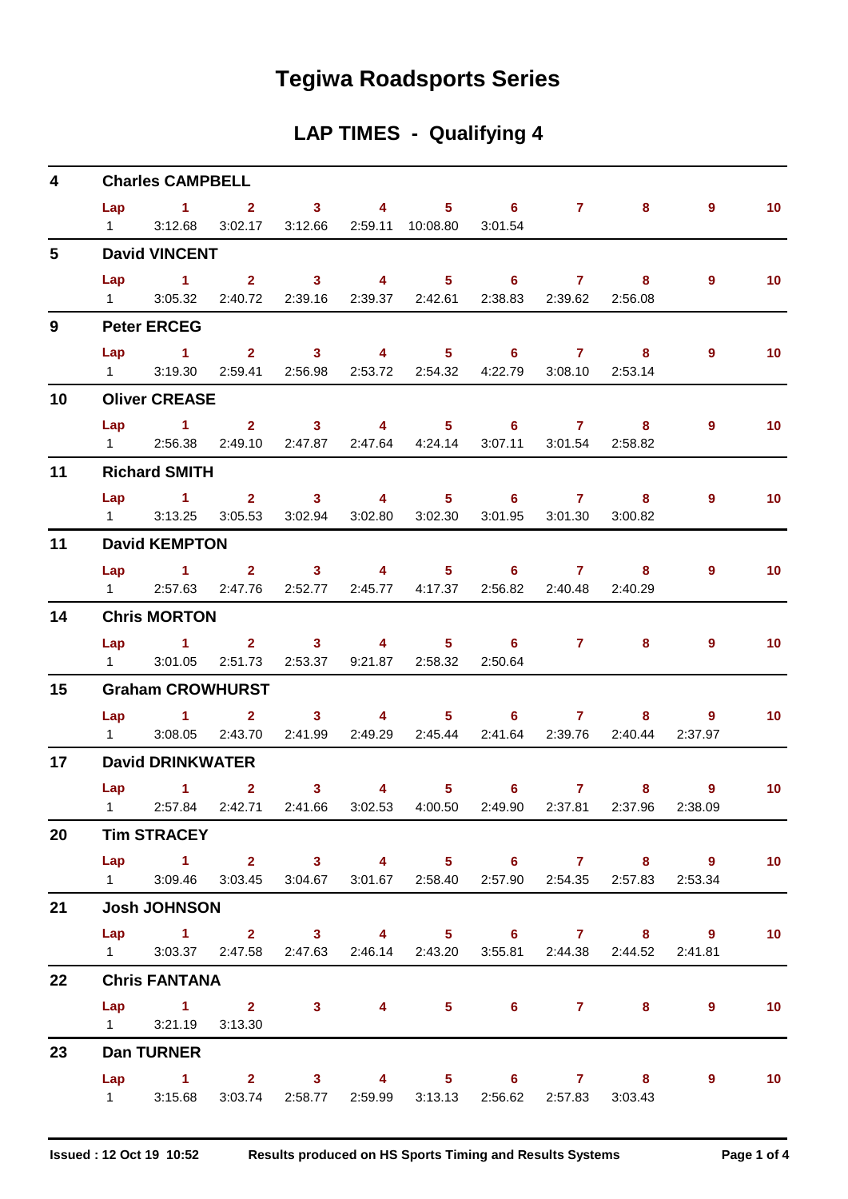# **Tegiwa Roadsports Series**

## **LAP TIMES - Qualifying 4**

| $\overline{\mathbf{4}}$ |                   | <b>Charles CAMPBELL</b> |  |                                                                           |  |                                                                           |                 |
|-------------------------|-------------------|-------------------------|--|---------------------------------------------------------------------------|--|---------------------------------------------------------------------------|-----------------|
|                         |                   |                         |  | Lap 1 2 3 4 5 6 7                                                         |  | $8 - 8$<br>$\overline{9}$                                                 | $\sim$ 10       |
|                         | $1 \qquad \qquad$ |                         |  | 3:12.68  3:02.17  3:12.66  2:59.11  10:08.80  3:01.54                     |  |                                                                           |                 |
| $5^{\circ}$             |                   | <b>David VINCENT</b>    |  |                                                                           |  |                                                                           |                 |
|                         |                   |                         |  | Lap 1 2 3 4 5 6 7 8                                                       |  | $\overline{9}$                                                            | 10 <sup>°</sup> |
|                         |                   |                         |  | 1 3:05.32 2:40.72 2:39.16 2:39.37 2:42.61 2:38.83 2:39.62 2:56.08         |  |                                                                           |                 |
| $9^{\circ}$             |                   | <b>Peter ERCEG</b>      |  |                                                                           |  |                                                                           |                 |
|                         | Lap               |                         |  | 1 2 3 4 5 6 7 8                                                           |  | $\overline{9}$                                                            | 10              |
|                         |                   |                         |  | 1 3:19.30 2:59.41 2:56.98 2:53.72 2:54.32 4:22.79 3:08.10 2:53.14         |  |                                                                           |                 |
| 10                      |                   | <b>Oliver CREASE</b>    |  |                                                                           |  |                                                                           |                 |
|                         |                   |                         |  | Lap 1 2 3 4 5 6 7 8                                                       |  | 9                                                                         | 10 <sub>1</sub> |
|                         |                   |                         |  | 1 2:56.38 2:49.10 2:47.87 2:47.64 4:24.14 3:07.11 3:01.54 2:58.82         |  |                                                                           |                 |
| 11                      |                   | <b>Richard SMITH</b>    |  |                                                                           |  |                                                                           |                 |
|                         |                   |                         |  | Lap 1 2 3 4 5 6 7 8                                                       |  | $\overline{9}$                                                            | 10 <sup>°</sup> |
|                         | $1 \quad \Box$    |                         |  | 3:13.25 3:05.53 3:02.94 3:02.80 3:02.30 3:01.95 3:01.30 3:00.82           |  |                                                                           |                 |
| 11                      |                   | <b>David KEMPTON</b>    |  |                                                                           |  |                                                                           |                 |
|                         |                   |                         |  | Lap 1 2 3 4 5 6 7 8                                                       |  | $\overline{9}$                                                            | 10 <sub>1</sub> |
|                         |                   |                         |  | 1 2:57.63 2:47.76 2:52.77 2:45.77 4:17.37 2:56.82 2:40.48 2:40.29         |  |                                                                           |                 |
| 14                      |                   | <b>Chris MORTON</b>     |  |                                                                           |  |                                                                           |                 |
|                         |                   |                         |  | Lap 1 2 3 4 5 6 7 8                                                       |  | 9                                                                         | 10              |
|                         |                   |                         |  | 1 3:01.05 2:51.73 2:53.37 9:21.87 2:58.32 2:50.64                         |  |                                                                           |                 |
| 15                      |                   | <b>Graham CROWHURST</b> |  |                                                                           |  |                                                                           |                 |
|                         |                   |                         |  | Lap 1 2 3 4 5 6 7                                                         |  | 8 9                                                                       | 10              |
|                         |                   |                         |  | 1 3:08.05 2:43.70 2:41.99 2:49.29 2:45.44 2:41.64 2:39.76 2:40.44 2:37.97 |  |                                                                           |                 |
| 17                      |                   | <b>David DRINKWATER</b> |  |                                                                           |  |                                                                           |                 |
|                         |                   | $Lap$ 1 2               |  | $3 \qquad 4 \qquad 5 \qquad 6 \qquad 7$                                   |  | $8$ 9                                                                     | $\sim$ 10       |
|                         |                   |                         |  |                                                                           |  | 1 2:57.84 2:42.71 2:41.66 3:02.53 4:00.50 2:49.90 2:37.81 2:37.96 2:38.09 |                 |
| 20                      |                   | <b>Tim STRACEY</b>      |  |                                                                           |  |                                                                           |                 |
|                         |                   |                         |  | Lap 1 2 3 4 5 6 7 8 9                                                     |  |                                                                           | 10              |
|                         |                   |                         |  | 1 3:09.46 3:03.45 3:04.67 3:01.67 2:58.40 2:57.90 2:54.35 2:57.83 2:53.34 |  |                                                                           |                 |
| 21                      |                   | <b>Josh JOHNSON</b>     |  |                                                                           |  |                                                                           |                 |
|                         |                   |                         |  | Lap 1 2 3 4 5 6 7 8 9                                                     |  |                                                                           | 10              |
|                         |                   |                         |  | 1 3:03.37 2:47.58 2:47.63 2:46.14 2:43.20 3:55.81 2:44.38 2:44.52 2:41.81 |  |                                                                           |                 |
| 22                      |                   | <b>Chris FANTANA</b>    |  |                                                                           |  |                                                                           |                 |
|                         |                   |                         |  | Lap 1 2 3 4 5 6 7 8 9                                                     |  |                                                                           | 10              |
|                         |                   | 1 3:21.19 3:13.30       |  |                                                                           |  |                                                                           |                 |
| 23                      |                   | <b>Dan TURNER</b>       |  |                                                                           |  |                                                                           |                 |
|                         |                   |                         |  | Lap 1 2 3 4 5 6 7 8 9                                                     |  |                                                                           | $\sim$ 10       |
|                         |                   |                         |  | 1 3:15.68 3:03.74 2:58.77 2:59.99 3:13.13 2:56.62 2:57.83 3:03.43         |  |                                                                           |                 |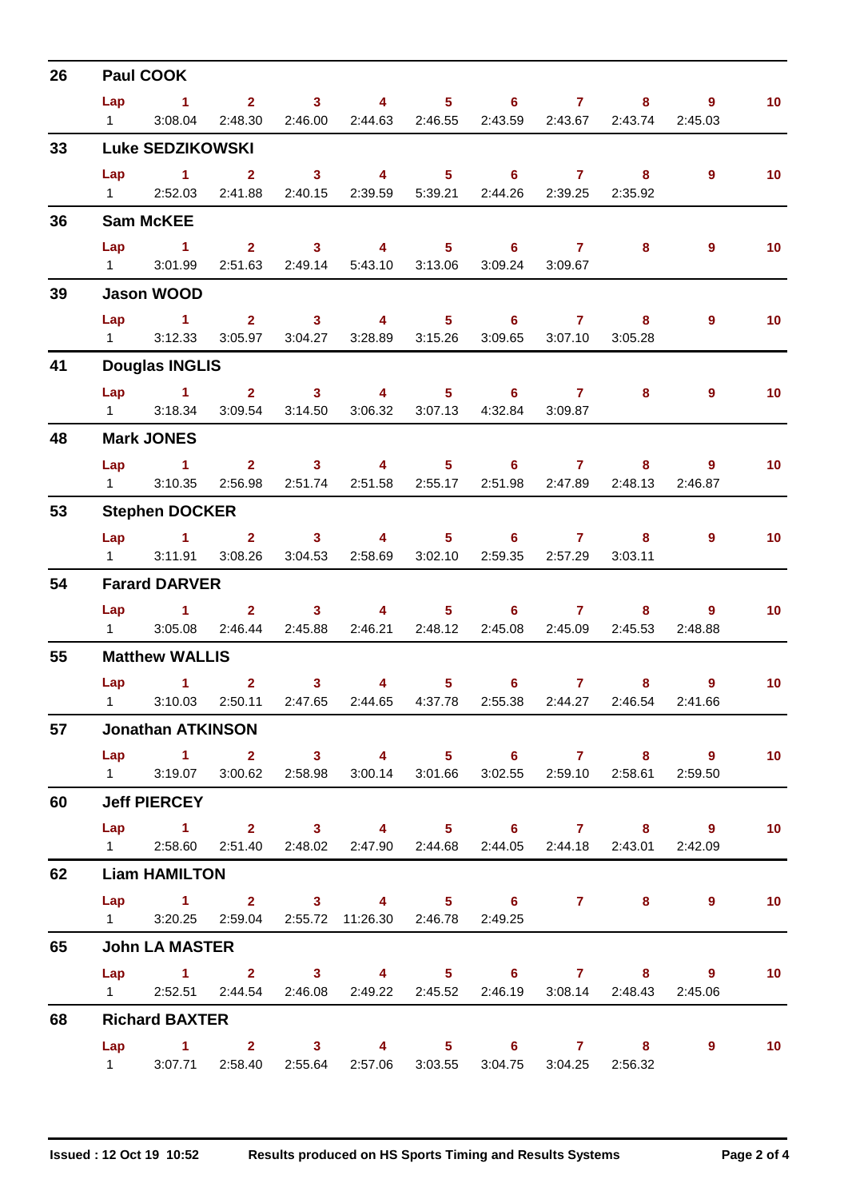| 26 |                | <b>Paul COOK</b>         |                                                 |          |                                                                                                    |                            |                                                                   |                                                                           |                 |
|----|----------------|--------------------------|-------------------------------------------------|----------|----------------------------------------------------------------------------------------------------|----------------------------|-------------------------------------------------------------------|---------------------------------------------------------------------------|-----------------|
|    | Lap            | $\sim$ $\sim$ 1          |                                                 |          | 2 3 4 5 6 7                                                                                        |                            |                                                                   | $9^{\circ}$<br>$8 - 1$                                                    | 10 <sub>1</sub> |
|    | $1 \quad \Box$ | 3:08.04                  |                                                 |          | 2:48.30  2:46.00  2:44.63  2:46.55  2:43.59  2:43.67  2:43.74                                      |                            |                                                                   | 2:45.03                                                                   |                 |
| 33 |                | <b>Luke SEDZIKOWSKI</b>  |                                                 |          |                                                                                                    |                            |                                                                   |                                                                           |                 |
|    |                |                          |                                                 |          | Lap 1 2 3 4 5 6 7 8<br>1 2:52.03 2:41.88 2:40.15 2:39.59 5:39.21 2:44.26 2:39.25 2:35.92           |                            |                                                                   | $\overline{9}$                                                            | 10 <sub>1</sub> |
| 36 |                | <b>Sam McKEE</b>         |                                                 |          |                                                                                                    |                            |                                                                   |                                                                           |                 |
|    |                |                          |                                                 |          |                                                                                                    |                            |                                                                   |                                                                           |                 |
|    | Lap            | $\sim$ 1                 | $\overline{\mathbf{2}}$ $\overline{\mathbf{3}}$ |          | 4 5 6 7<br>1 3:01.99 2:51.63 2:49.14 5:43.10 3:13.06 3:09.24 3:09.67                               |                            | 8                                                                 | 9                                                                         | 10 <sub>1</sub> |
| 39 |                | <b>Jason WOOD</b>        |                                                 |          |                                                                                                    |                            |                                                                   |                                                                           |                 |
|    |                |                          |                                                 |          | Lap 1 2 3 4 5 6 7 8                                                                                |                            |                                                                   | $9^{\circ}$                                                               | 10 <sub>1</sub> |
|    |                |                          |                                                 |          | 1 3:12.33 3:05.97 3:04.27 3:28.89 3:15.26 3:09.65 3:07.10 3:05.28                                  |                            |                                                                   |                                                                           |                 |
| 41 |                | <b>Douglas INGLIS</b>    |                                                 |          |                                                                                                    |                            |                                                                   |                                                                           |                 |
|    |                |                          |                                                 |          | Lap 1 2 3 4 5 6 7                                                                                  |                            |                                                                   | $9^{\circ}$<br>$8 - 8$                                                    | 10 <sup>°</sup> |
|    |                |                          |                                                 |          | 1 3:18.34 3:09.54 3:14.50 3:06.32 3:07.13 4:32.84 3:09.87                                          |                            |                                                                   |                                                                           |                 |
| 48 |                | <b>Mark JONES</b>        |                                                 |          |                                                                                                    |                            |                                                                   |                                                                           |                 |
|    |                |                          |                                                 |          | Lap 1 2 3 4 5 6 7 8                                                                                |                            |                                                                   | $\overline{9}$                                                            | 10 <sub>1</sub> |
|    |                |                          |                                                 |          | 1 3:10.35 2:56.98 2:51.74 2:51.58 2:55.17 2:51.98 2:47.89 2:48.13                                  |                            |                                                                   | 2:46.87                                                                   |                 |
| 53 |                | <b>Stephen DOCKER</b>    |                                                 |          |                                                                                                    |                            |                                                                   |                                                                           |                 |
|    |                | $Lap$ 1                  |                                                 |          | 2 3 4 5 6 7 8<br>1 3:11.91 3:08.26 3:04.53 2:58.69 3:02.10 2:59.35 2:57.29 3:03.11                 |                            |                                                                   | $9^{\circ}$                                                               | 10 <sub>1</sub> |
|    |                |                          |                                                 |          |                                                                                                    |                            |                                                                   |                                                                           |                 |
| 54 |                | <b>Farard DARVER</b>     |                                                 |          |                                                                                                    |                            |                                                                   |                                                                           |                 |
|    |                |                          |                                                 |          | Lap 1 2 3 4 5 6 7 8<br>1 3:05.08 2:46.44 2:45.88 2:46.21 2:48.12 2:45.08 2:45.09 2:45.53 2:48.88   |                            |                                                                   | 9                                                                         | 10 <sub>1</sub> |
| 55 |                | <b>Matthew WALLIS</b>    |                                                 |          |                                                                                                    |                            |                                                                   |                                                                           |                 |
|    |                | Lap 1                    |                                                 | $2 \t 3$ | $\overline{4}$                                                                                     | $5^{\circ}$<br>$6^{\circ}$ | $7 \quad \overline{\phantom{1}}$                                  | $8 - 1$<br>$\overline{9}$                                                 | 10 <sub>1</sub> |
|    |                |                          |                                                 |          |                                                                                                    |                            |                                                                   | 1 3:10.03 2:50.11 2:47.65 2:44.65 4:37.78 2:55.38 2:44.27 2:46.54 2:41.66 |                 |
| 57 |                | <b>Jonathan ATKINSON</b> |                                                 |          |                                                                                                    |                            |                                                                   |                                                                           |                 |
|    |                |                          |                                                 |          | Lap 1 2 3 4 5 6 7 8 9                                                                              |                            |                                                                   |                                                                           | $\sim$ 10       |
|    |                |                          |                                                 |          | 1 3:19.07 3:00.62 2:58.98 3:00.14 3:01.66 3:02.55 2:59.10 2:58.61 2:59.50                          |                            |                                                                   |                                                                           |                 |
| 60 |                | <b>Jeff PIERCEY</b>      |                                                 |          |                                                                                                    |                            |                                                                   |                                                                           |                 |
|    |                |                          |                                                 |          |                                                                                                    |                            |                                                                   | Lap 1 2 3 4 5 6 7 8 9 10                                                  |                 |
|    |                |                          |                                                 |          | 1   2:58.60   2:51.40   2:48.02   2:47.90   2:44.68   2:44.05   2:44.18   2:43.01   2:42.09        |                            |                                                                   |                                                                           |                 |
| 62 |                | <b>Liam HAMILTON</b>     |                                                 |          |                                                                                                    |                            |                                                                   |                                                                           |                 |
|    |                |                          |                                                 |          | Lap 1 2 3 4 5 6 7 8                                                                                |                            |                                                                   | 9                                                                         | 10              |
|    |                |                          |                                                 |          | 1 3:20.25 2:59.04 2:55.72 11:26.30 2:46.78 2:49.25                                                 |                            |                                                                   |                                                                           |                 |
| 65 |                | <b>John LA MASTER</b>    |                                                 |          |                                                                                                    |                            |                                                                   |                                                                           |                 |
|    |                |                          |                                                 |          | Lap 1 2 3 4 5 6 7 8 9<br>1 2:52.51 2:44.54 2:46.08 2:49.22 2:45.52 2:46.19 3:08.14 2:48.43 2:45.06 |                            |                                                                   |                                                                           | $\sim$ 10       |
| 68 |                | <b>Richard BAXTER</b>    |                                                 |          |                                                                                                    |                            |                                                                   |                                                                           |                 |
|    |                |                          |                                                 |          | Lap 1 2 3 4 5 6 7 8                                                                                |                            |                                                                   | $\overline{9}$                                                            | 10              |
|    |                |                          |                                                 |          |                                                                                                    |                            | 1 3:07.71 2:58.40 2:55.64 2:57.06 3:03.55 3:04.75 3:04.25 2:56.32 |                                                                           |                 |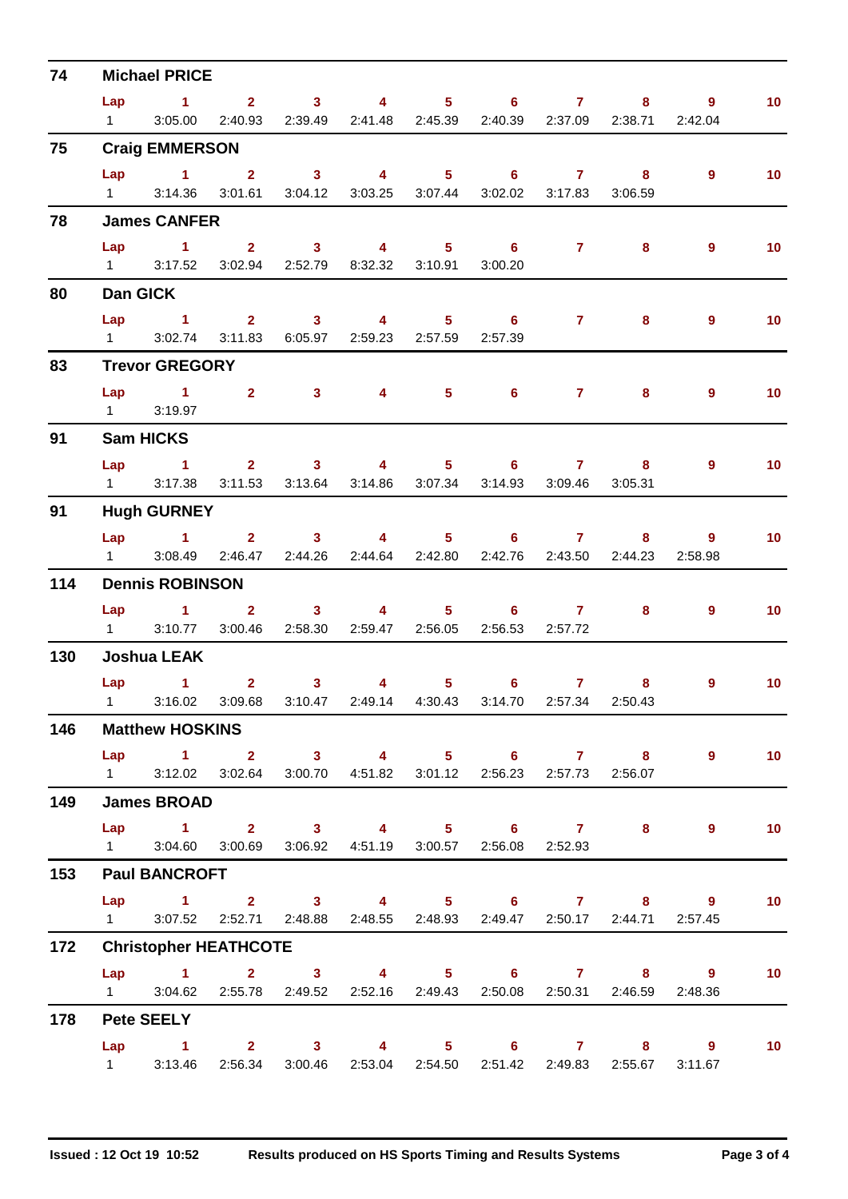| 74  |                   | <b>Michael PRICE</b>                                                      |          |  |                                                                        |             |                        |                   |
|-----|-------------------|---------------------------------------------------------------------------|----------|--|------------------------------------------------------------------------|-------------|------------------------|-------------------|
|     | Lap               | 1 2 3 4 5 6 7                                                             |          |  |                                                                        |             | $\overline{9}$         | 10 <sub>1</sub>   |
|     | $1 \qquad \qquad$ |                                                                           |          |  | 3:05.00  2:40.93  2:39.49  2:41.48  2:45.39  2:40.39  2:37.09  2:38.71 |             | 2:42.04                |                   |
| 75  |                   | <b>Craig EMMERSON</b>                                                     |          |  |                                                                        |             |                        |                   |
|     |                   | Lap 1 2 3 4 5 6 7 8                                                       |          |  |                                                                        |             | $9^{\circ}$            | 10 <sub>1</sub>   |
|     | $1 \quad \Box$    |                                                                           |          |  | 3:14.36 3:01.61 3:04.12 3:03.25 3:07.44 3:02.02 3:17.83 3:06.59        |             |                        |                   |
| 78  |                   | <b>James CANFER</b>                                                       |          |  |                                                                        |             |                        |                   |
|     | Lap               | $1 \qquad 2 \qquad 3 \qquad 4 \qquad 5 \qquad 6$                          |          |  |                                                                        | 8           | $9^{\circ}$            | 10 <sub>1</sub>   |
|     |                   | 1 3:17.52 3:02.94 2:52.79 8:32.32 3:10.91                                 |          |  | 3:00.20                                                                |             |                        |                   |
| 80  |                   | Dan GICK                                                                  |          |  |                                                                        |             |                        |                   |
|     |                   | Lap 1 2 3 4 5 6                                                           |          |  |                                                                        | $7 \quad 8$ | $9^{\circ}$            | 10 <sub>1</sub>   |
|     |                   | 1 3:02.74 3:11.83 6:05.97 2:59.23 2:57.59 2:57.39                         |          |  |                                                                        |             |                        |                   |
| 83  |                   | <b>Trevor GREGORY</b>                                                     |          |  |                                                                        |             |                        |                   |
|     |                   | Lap 1 2 3 4 5 6 7                                                         |          |  |                                                                        | 8           | $9^{\circ}$            | 10 <sub>1</sub>   |
|     |                   | 1 3:19.97                                                                 |          |  |                                                                        |             |                        |                   |
| 91  |                   | <b>Sam HICKS</b>                                                          |          |  |                                                                        |             |                        |                   |
|     |                   | Lap 1 2 3 4 5 6 7 8                                                       |          |  |                                                                        |             | $\overline{9}$         | 10 <sub>1</sub>   |
|     | $1 \quad \Box$    |                                                                           |          |  | 3:17.38  3:11.53  3:13.64  3:14.86  3:07.34  3:14.93  3:09.46  3:05.31 |             |                        |                   |
| 91  |                   | <b>Hugh GURNEY</b>                                                        |          |  |                                                                        |             |                        |                   |
|     |                   | Lap 1                                                                     |          |  | 2 3 4 5 6 7                                                            |             | $9^{\circ}$<br>$8 - 1$ | 10 <sub>1</sub>   |
|     |                   | 1 3:08.49 2:46.47 2:44.26 2:44.64 2:42.80 2:42.76 2:43.50 2:44.23         |          |  |                                                                        |             | 2:58.98                |                   |
| 114 |                   | <b>Dennis ROBINSON</b>                                                    |          |  |                                                                        |             |                        |                   |
|     |                   | Lap 1 2 3 4 5 6 7 8                                                       |          |  |                                                                        |             | $9^{\circ}$            | 10 <sub>1</sub>   |
|     |                   | 1 3:10.77 3:00.46 2:58.30 2:59.47 2:56.05 2:56.53 2:57.72                 |          |  |                                                                        |             |                        |                   |
| 130 |                   | <b>Joshua LEAK</b>                                                        |          |  |                                                                        |             |                        |                   |
|     |                   | Lap 1                                                                     | $2 \t 3$ |  | 4 5 6 7                                                                | 8           | $\overline{9}$         | 10 <sup>°</sup>   |
|     |                   | 1 3:16.02 3:09.68 3:10.47 2:49.14 4:30.43 3:14.70 2:57.34 2:50.43         |          |  |                                                                        |             |                        |                   |
| 146 |                   | <b>Matthew HOSKINS</b>                                                    |          |  |                                                                        |             |                        |                   |
|     |                   | Lap 1 2 3 4 5 6 7 8                                                       |          |  |                                                                        |             |                        | $9 \t 10$         |
|     |                   | 1 3:12.02 3:02.64 3:00.70 4:51.82 3:01.12 2:56.23 2:57.73 2:56.07         |          |  |                                                                        |             |                        |                   |
| 149 |                   | <b>James BROAD</b>                                                        |          |  |                                                                        |             |                        |                   |
|     |                   | Lap 1 2 3 4 5 6 7 8                                                       |          |  |                                                                        |             | $\overline{9}$         | 10 <sub>1</sub>   |
|     |                   | 1 3:04.60 3:00.69 3:06.92 4:51.19 3:00.57 2:56.08 2:52.93                 |          |  |                                                                        |             |                        |                   |
| 153 |                   | <b>Paul BANCROFT</b>                                                      |          |  |                                                                        |             |                        |                   |
|     |                   |                                                                           |          |  |                                                                        |             | Lap 1 2 3 4 5 6 7 8 9  | $\blacksquare$ 10 |
|     |                   | 1 3:07.52 2:52.71 2:48.88 2:48.55 2:48.93 2:49.47 2:50.17 2:44.71 2:57.45 |          |  |                                                                        |             |                        |                   |
| 172 |                   | <b>Christopher HEATHCOTE</b>                                              |          |  |                                                                        |             |                        |                   |
|     |                   | Lap 1 2 3 4 5 6 7 8 9                                                     |          |  |                                                                        |             |                        | 10 <sub>1</sub>   |
|     |                   | 1 3:04.62 2:55.78 2:49.52 2:52.16 2:49.43 2:50.08 2:50.31 2:46.59 2:48.36 |          |  |                                                                        |             |                        |                   |
| 178 |                   | <b>Pete SEELY</b>                                                         |          |  |                                                                        |             |                        |                   |
|     |                   | Lap 1 2 3 4 5 6 7 8 9                                                     |          |  |                                                                        |             |                        | 10                |
|     |                   | 1 3:13.46 2:56.34 3:00.46 2:53.04 2:54.50 2:51.42 2:49.83 2:55.67 3:11.67 |          |  |                                                                        |             |                        |                   |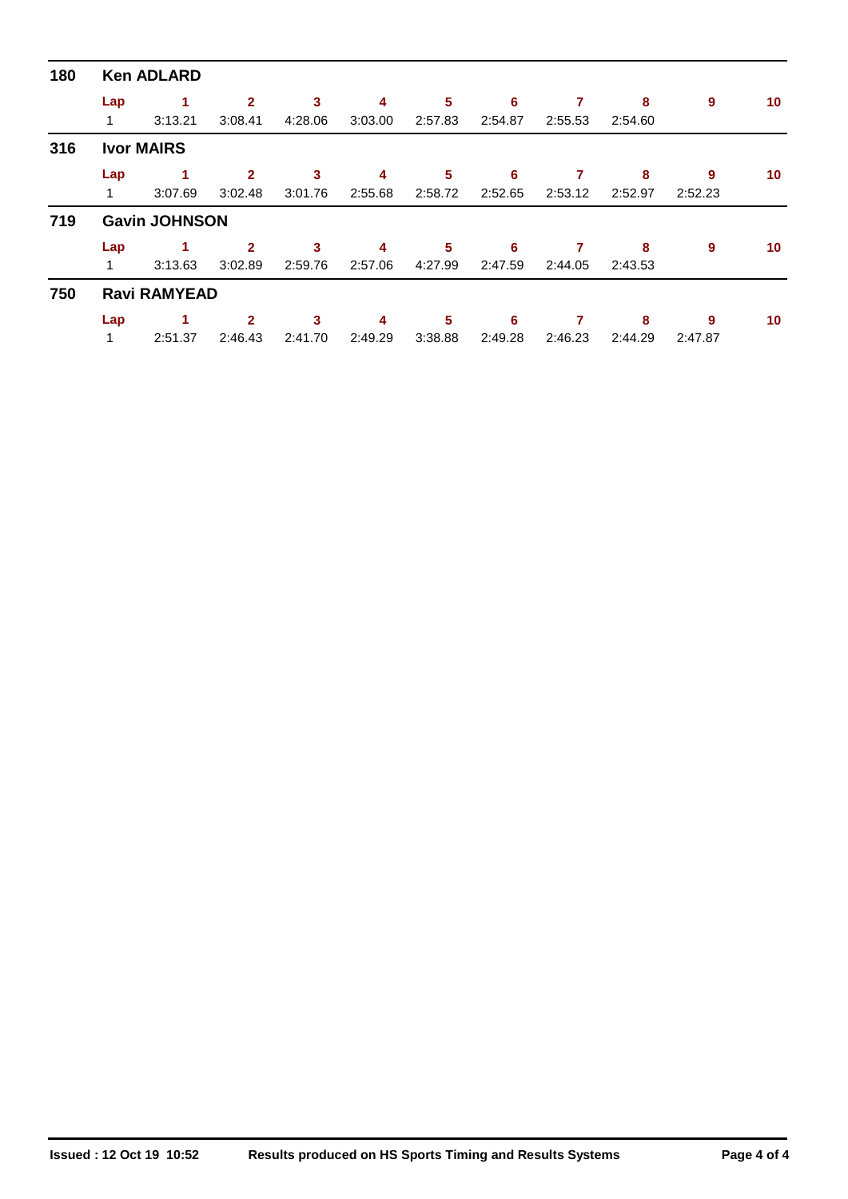| 180 | <b>Ken ADLARD</b> |                      |                |         |         |         |         |         |         |         |    |  |  |
|-----|-------------------|----------------------|----------------|---------|---------|---------|---------|---------|---------|---------|----|--|--|
|     | Lap               | 1                    | $\overline{2}$ | 3       | 4       | 5       | 6       | 7       | 8       | 9       | 10 |  |  |
|     | 1                 | 3:13.21              | 3:08.41        | 4:28.06 | 3:03.00 | 2:57.83 | 2:54.87 | 2:55.53 | 2:54.60 |         |    |  |  |
| 316 |                   | <b>Ivor MAIRS</b>    |                |         |         |         |         |         |         |         |    |  |  |
|     | Lap               |                      | $\mathbf{2}$   | 3       | 4       | 5       | 6       |         | 8       | 9       | 10 |  |  |
|     | 1                 | 3:07.69              | 3:02.48        | 3:01.76 | 2:55.68 | 2:58.72 | 2:52.65 | 2:53.12 | 2:52.97 | 2:52.23 |    |  |  |
| 719 |                   | <b>Gavin JOHNSON</b> |                |         |         |         |         |         |         |         |    |  |  |
|     | Lap               |                      | $\overline{2}$ | 3       | 4       | 5       | 6       | 7       | 8       | 9       | 10 |  |  |
|     | 1                 | 3:13.63              | 3:02.89        | 2:59.76 | 2:57.06 | 4:27.99 | 2:47.59 | 2:44.05 | 2:43.53 |         |    |  |  |
| 750 |                   | <b>Ravi RAMYEAD</b>  |                |         |         |         |         |         |         |         |    |  |  |
|     | Lap               |                      | $\overline{2}$ | 3       | 4       | 5       | 6       |         | 8       | 9       | 10 |  |  |
|     | 1                 | 2:51.37              | 2:46.43        | 2:41.70 | 2:49.29 | 3:38.88 | 2:49.28 | 2:46.23 | 2:44.29 | 2:47.87 |    |  |  |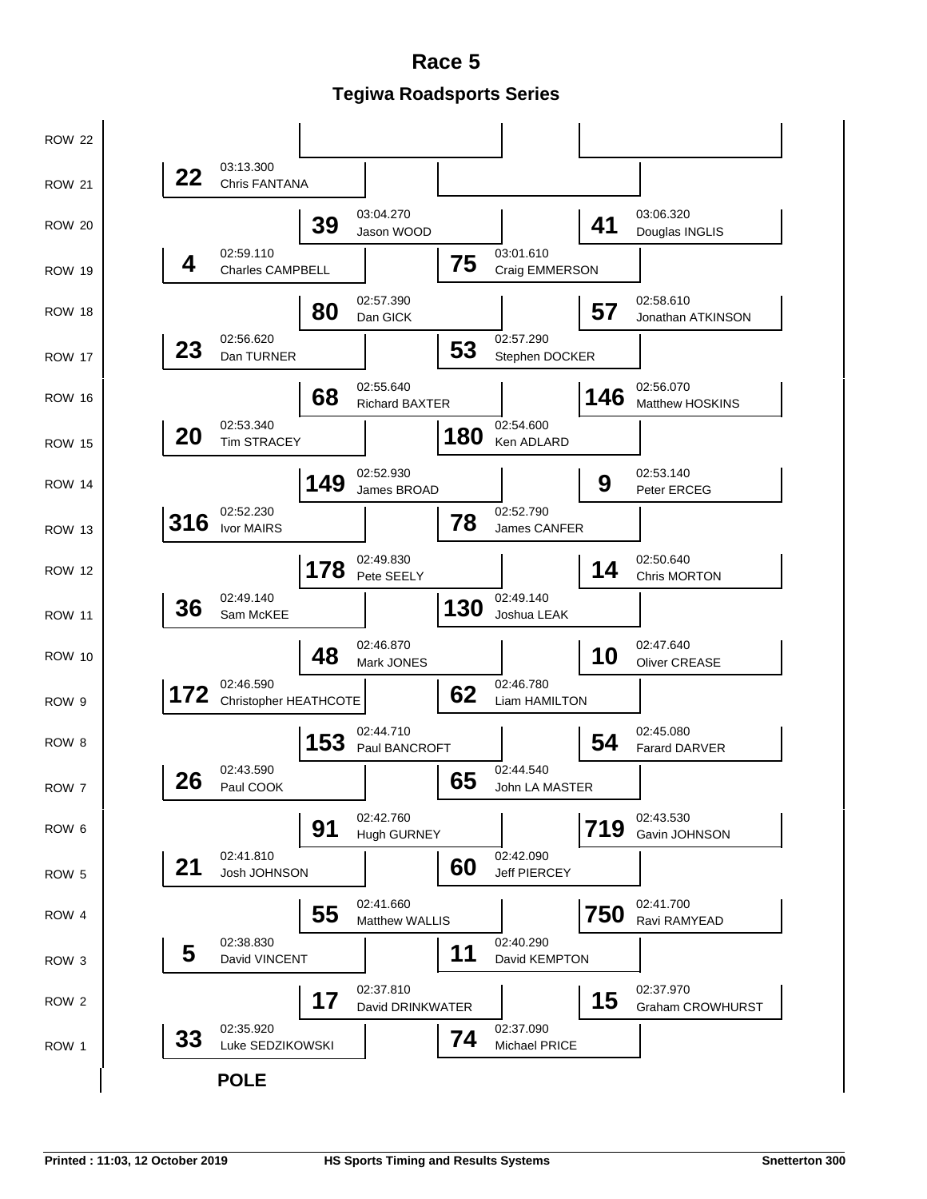**Tegiwa Roadsports Series Race 5**

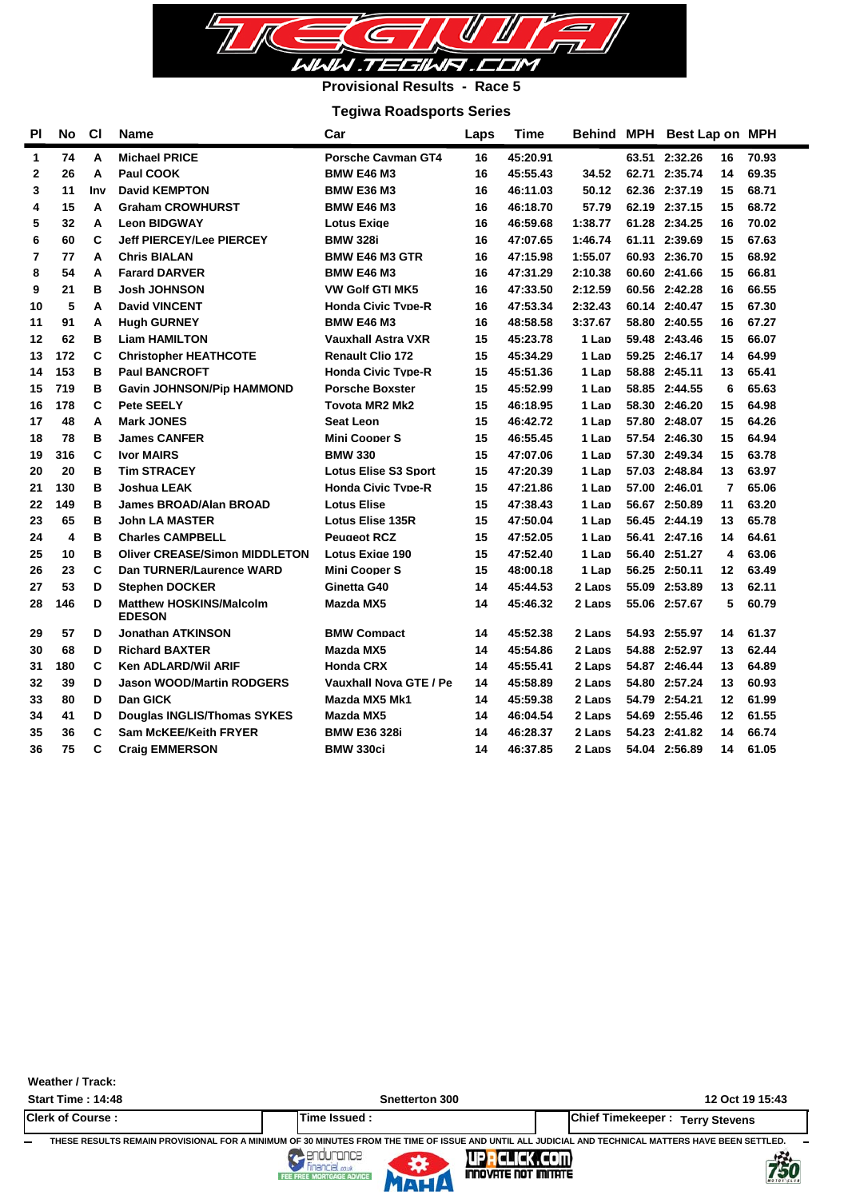

### **Provisional Results - Race 5**

#### **Tegiwa Roadsports Series**

| <b>PI</b>      | <b>No</b> | <b>CI</b> | <b>Name</b>                                     | Car                         | Laps | <b>Time</b> | <b>Behind MPH</b> | Best Lap on MPH |    |       |
|----------------|-----------|-----------|-------------------------------------------------|-----------------------------|------|-------------|-------------------|-----------------|----|-------|
| $\mathbf{1}$   | 74        | A         | <b>Michael PRICE</b>                            | Porsche Cavman GT4          | 16   | 45:20.91    |                   | 63.51 2:32.26   | 16 | 70.93 |
| $\mathbf{2}$   | 26        | A         | <b>Paul COOK</b>                                | <b>BMW E46 M3</b>           | 16   | 45:55.43    | 34.52             | 62.71 2:35.74   | 14 | 69.35 |
| 3              | 11        | Inv       | <b>David KEMPTON</b>                            | <b>BMW E36 M3</b>           | 16   | 46:11.03    | 50.12             | 62.36 2:37.19   | 15 | 68.71 |
| 4              | 15        | A         | <b>Graham CROWHURST</b>                         | <b>BMW E46 M3</b>           | 16   | 46:18.70    | 57.79             | 62.19 2:37.15   | 15 | 68.72 |
| 5              | 32        | A         | <b>Leon BIDGWAY</b>                             | <b>Lotus Exige</b>          | 16   | 46:59.68    | 1:38.77           | 61.28 2:34.25   | 16 | 70.02 |
| 6              | 60        | C         | <b>Jeff PIERCEY/Lee PIERCEY</b>                 | <b>BMW 328i</b>             | 16   | 47:07.65    | 1:46.74           | 61.11 2:39.69   | 15 | 67.63 |
| $\overline{7}$ | 77        | A         | <b>Chris BIALAN</b>                             | <b>BMW E46 M3 GTR</b>       | 16   | 47:15.98    | 1:55.07           | 60.93 2:36.70   | 15 | 68.92 |
| 8              | 54        | A         | <b>Farard DARVER</b>                            | <b>BMW E46 M3</b>           | 16   | 47:31.29    | 2:10.38           | 60.60 2:41.66   | 15 | 66.81 |
| 9              | 21        | в         | <b>Josh JOHNSON</b>                             | <b>VW Golf GTI MK5</b>      | 16   | 47:33.50    | 2:12.59           | 60.56 2:42.28   | 16 | 66.55 |
| 10             | 5         | A         | <b>David VINCENT</b>                            | <b>Honda Civic Type-R</b>   | 16   | 47:53.34    | 2:32.43           | 60.14 2:40.47   | 15 | 67.30 |
| 11             | 91        | A         | <b>Hugh GURNEY</b>                              | <b>BMW E46 M3</b>           | 16   | 48:58.58    | 3:37.67           | 58.80 2:40.55   | 16 | 67.27 |
| 12             | 62        | B         | <b>Liam HAMILTON</b>                            | <b>Vauxhall Astra VXR</b>   | 15   | 45:23.78    | 1 Lap             | 59.48 2:43.46   | 15 | 66.07 |
| 13             | 172       | C         | <b>Christopher HEATHCOTE</b>                    | <b>Renault Clio 172</b>     | 15   | 45:34.29    | 1 Lap             | 59.25 2:46.17   | 14 | 64.99 |
| 14             | 153       | в         | <b>Paul BANCROFT</b>                            | <b>Honda Civic Tvpe-R</b>   | 15   | 45:51.36    | 1 Lap             | 58.88 2:45.11   | 13 | 65.41 |
| 15             | 719       | в         | <b>Gavin JOHNSON/Pip HAMMOND</b>                | <b>Porsche Boxster</b>      | 15   | 45:52.99    | 1 Lap             | 58.85 2:44.55   | 6  | 65.63 |
| 16             | 178       | C         | <b>Pete SEELY</b>                               | <b>Tovota MR2 Mk2</b>       | 15   | 46:18.95    | 1 Lap             | 58.30 2:46.20   | 15 | 64.98 |
| 17             | 48        | A         | <b>Mark JONES</b>                               | <b>Seat Leon</b>            | 15   | 46:42.72    | 1 Lap             | 57.80 2:48.07   | 15 | 64.26 |
| 18             | 78        | B         | <b>James CANFER</b>                             | <b>Mini Cooper S</b>        | 15   | 46:55.45    | 1 Lap             | 57.54 2:46.30   | 15 | 64.94 |
| 19             | 316       | C         | <b>Ivor MAIRS</b>                               | <b>BMW 330</b>              | 15   | 47:07.06    | 1 Lap             | 57.30 2:49.34   | 15 | 63.78 |
| 20             | 20        | в         | <b>Tim STRACEY</b>                              | <b>Lotus Elise S3 Sport</b> | 15   | 47:20.39    | 1 Lap             | 57.03 2:48.84   | 13 | 63.97 |
| 21             | 130       | B         | Joshua LEAK                                     | <b>Honda Civic Type-R</b>   | 15   | 47:21.86    | 1 Lap             | 57.00 2:46.01   | 7  | 65.06 |
| 22             | 149       | B         | <b>James BROAD/Alan BROAD</b>                   | <b>Lotus Elise</b>          | 15   | 47:38.43    | 1 Lap             | 56.67 2:50.89   | 11 | 63.20 |
| 23             | 65        | B         | <b>John LA MASTER</b>                           | <b>Lotus Elise 135R</b>     | 15   | 47:50.04    | 1 Lap             | 56.45 2:44.19   | 13 | 65.78 |
| 24             | 4         | в         | <b>Charles CAMPBELL</b>                         | <b>Peugeot RCZ</b>          | 15   | 47:52.05    | 1 Lap             | 56.41 2:47.16   | 14 | 64.61 |
| 25             | 10        | в         | <b>Oliver CREASE/Simon MIDDLETON</b>            | <b>Lotus Exige 190</b>      | 15   | 47:52.40    | 1 Lap             | 56.40 2:51.27   | 4  | 63.06 |
| 26             | 23        | C         | Dan TURNER/Laurence WARD                        | <b>Mini Cooper S</b>        | 15   | 48:00.18    | 1 Lap             | 56.25 2:50.11   | 12 | 63.49 |
| 27             | 53        | D         | <b>Stephen DOCKER</b>                           | Ginetta G40                 | 14   | 45:44.53    | 2 Laps            | 55.09 2:53.89   | 13 | 62.11 |
| 28             | 146       | D         | <b>Matthew HOSKINS/Malcolm</b><br><b>EDESON</b> | Mazda MX5                   | 14   | 45:46.32    | 2 Laps            | 55.06 2:57.67   | 5  | 60.79 |
| 29             | 57        | D         | <b>Jonathan ATKINSON</b>                        | <b>BMW Compact</b>          | 14   | 45:52.38    | 2 Laps            | 54.93 2:55.97   | 14 | 61.37 |
| 30             | 68        | D         | <b>Richard BAXTER</b>                           | Mazda MX5                   | 14   | 45:54.86    | 2 Laps            | 54.88 2:52.97   | 13 | 62.44 |
| 31             | 180       | C         | Ken ADLARD/Wil ARIF                             | <b>Honda CRX</b>            | 14   | 45:55.41    | 2 Laps            | 54.87 2:46.44   | 13 | 64.89 |
| 32             | 39        | D         | <b>Jason WOOD/Martin RODGERS</b>                | Vauxhall Nova GTE / Pe      | 14   | 45:58.89    | 2 Laps            | 54.80 2:57.24   | 13 | 60.93 |
| 33             | 80        | D         | Dan GICK                                        | Mazda MX5 Mk1               | 14   | 45:59.38    | 2 Laps            | 54.79 2:54.21   | 12 | 61.99 |
| 34             | 41        | D         | <b>Douglas INGLIS/Thomas SYKES</b>              | Mazda MX5                   | 14   | 46:04.54    | 2 Laps            | 54.69 2:55.46   | 12 | 61.55 |
| 35             | 36        | C         | <b>Sam McKEE/Keith FRYER</b>                    | <b>BMW E36 328i</b>         | 14   | 46:28.37    | 2 Laps            | 54.23 2:41.82   | 14 | 66.74 |
| 36             | 75        | C         | <b>Craig EMMERSON</b>                           | <b>BMW 330ci</b>            | 14   | 46:37.85    | 2 Laps            | 54.04 2:56.89   | 14 | 61.05 |

**Weather / Track:** 

**Start Time : 14:48 Snetterton 300 12 Oct 19 15:43**

THESE RESULTS REMAIN PROVISIONAL FOR A MINIMUM OF 30 MINUTES FROM THE TIME OF ISSUE AND UNTIL ALL JUDICIAL AND TECHNICAL MATTERS HAVE BEEN SETTLED.<br>
FINALLY FINALLY FINALLY STATE ON THE TIME OF INCOME ON THE TIME OF INCOME

**Clerk of Course : Time Issued : Chief Timekeeper : Terry Stevens**



FEE FREE M



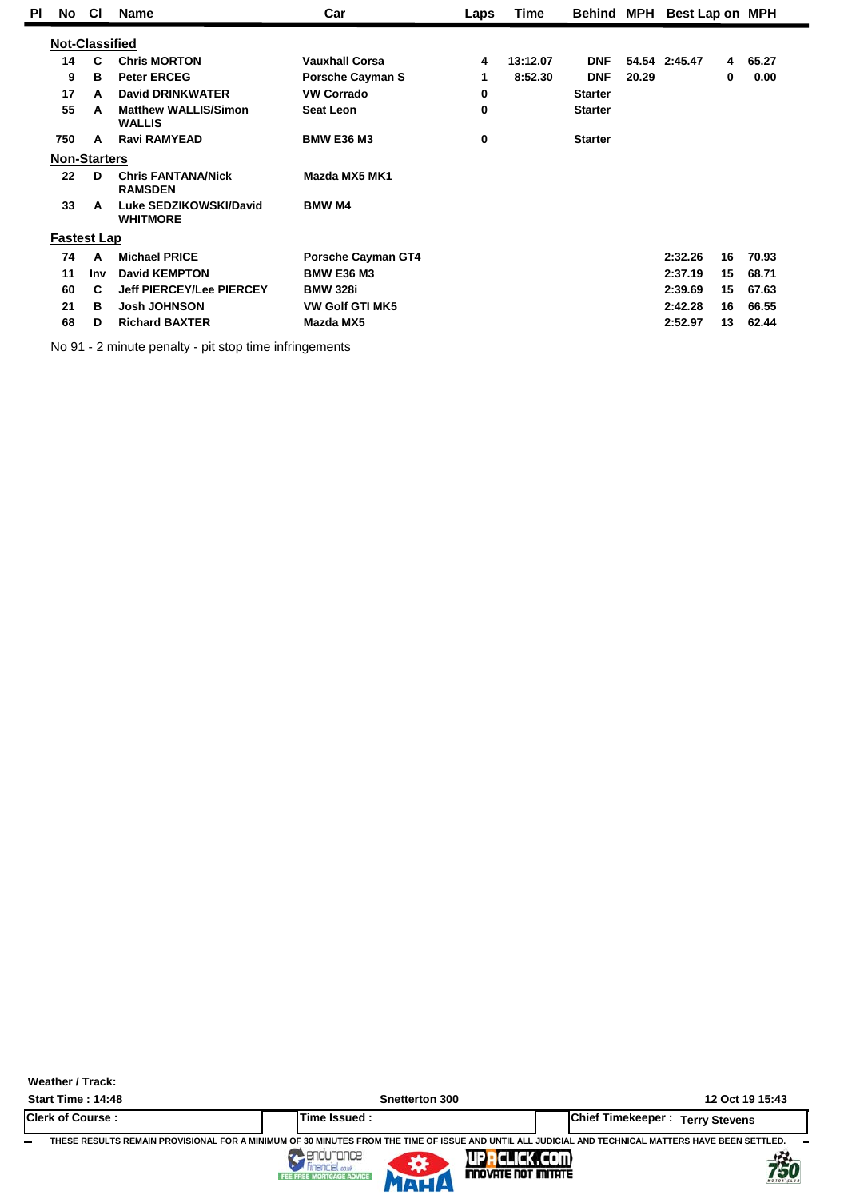| ΡI | <b>No</b>           | <b>CI</b> | <b>Name</b>                                  | Car                    | Laps | Time     | <b>Behind MPH</b> |       | Best Lap on MPH |    |       |  |
|----|---------------------|-----------|----------------------------------------------|------------------------|------|----------|-------------------|-------|-----------------|----|-------|--|
|    | Not-Classified      |           |                                              |                        |      |          |                   |       |                 |    |       |  |
|    | 14                  | C         | <b>Chris MORTON</b>                          | <b>Vauxhall Corsa</b>  | 4    | 13:12.07 | <b>DNF</b>        |       | 54.54 2:45.47   | 4  | 65.27 |  |
|    | 9                   | в         | <b>Peter ERCEG</b>                           | Porsche Cayman S       | 1    | 8:52.30  | <b>DNF</b>        | 20.29 |                 | 0  | 0.00  |  |
|    | 17                  | A         | <b>David DRINKWATER</b>                      | <b>VW Corrado</b>      | 0    |          | <b>Starter</b>    |       |                 |    |       |  |
|    | 55                  | A         | <b>Matthew WALLIS/Simon</b><br><b>WALLIS</b> | <b>Seat Leon</b>       | 0    |          | <b>Starter</b>    |       |                 |    |       |  |
|    | 750                 | A         | <b>Ravi RAMYEAD</b>                          | <b>BMW E36 M3</b>      | 0    |          | <b>Starter</b>    |       |                 |    |       |  |
|    | <b>Non-Starters</b> |           |                                              |                        |      |          |                   |       |                 |    |       |  |
|    | 22                  | D         | <b>Chris FANTANA/Nick</b><br><b>RAMSDEN</b>  | Mazda MX5 MK1          |      |          |                   |       |                 |    |       |  |
|    | 33                  | A         | Luke SEDZIKOWSKI/David<br><b>WHITMORE</b>    | <b>BMW M4</b>          |      |          |                   |       |                 |    |       |  |
|    | <b>Fastest Lap</b>  |           |                                              |                        |      |          |                   |       |                 |    |       |  |
|    | 74                  | A         | <b>Michael PRICE</b>                         | Porsche Cayman GT4     |      |          |                   |       | 2:32.26         | 16 | 70.93 |  |
|    | 11                  | Inv       | <b>David KEMPTON</b>                         | <b>BMW E36 M3</b>      |      |          |                   |       | 2:37.19         | 15 | 68.71 |  |
|    | 60                  | C         | <b>Jeff PIERCEY/Lee PIERCEY</b>              | <b>BMW 328i</b>        |      |          |                   |       | 2:39.69         | 15 | 67.63 |  |
|    | 21                  | в         | <b>Josh JOHNSON</b>                          | <b>VW Golf GTI MK5</b> |      |          |                   |       | 2:42.28         | 16 | 66.55 |  |
|    | 68                  | D         | <b>Richard BAXTER</b>                        | Mazda MX5              |      |          |                   |       | 2:52.97         | 13 | 62.44 |  |
|    |                     |           |                                              |                        |      |          |                   |       |                 |    |       |  |

No 91 - 2 minute penalty - pit stop time infringements

**Weather / Track:** 

**Start Time : 14:48 Snetterton 300 12 Oct 19 15:43 Clerk of Course : Time Issued : Chief Timekeeper : Terry Stevens** THESE RESULTS REMAIN PROVISIONAL FOR A MINIMUM OF 30 MINUTES FROM THE TIME OF ISSUE AND UNTIL ALL JUDICIAL AND TECHNICAL MATTERS HAVE BEEN SETTLED.<br>FRANCISCO AND TECHNICAL MATTERS HAVE BEEN SETTLED.<br>**FRANCISCO ADDICAL MATT** .



FEE FREE N



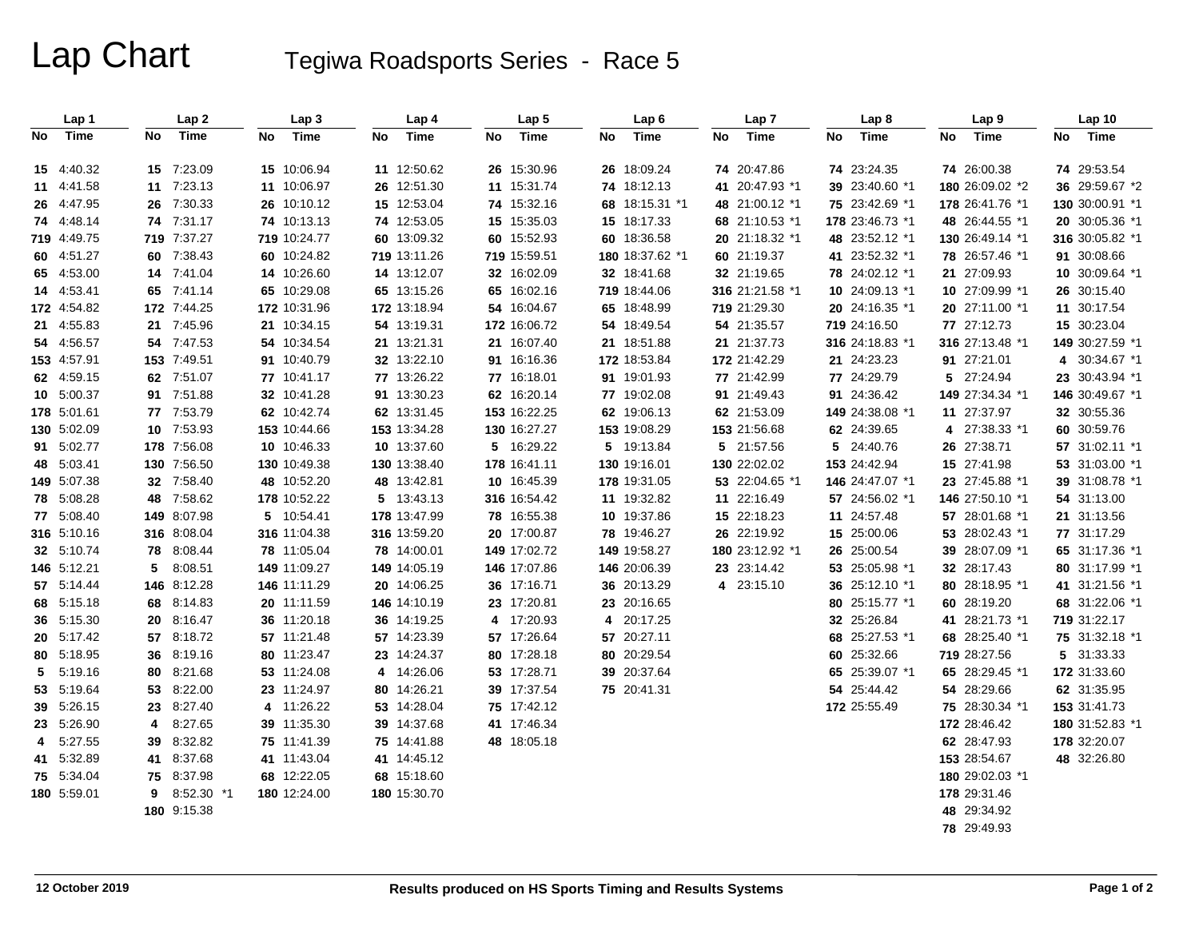# Lap Chart Tegiwa Roadsports Series - Race 5

|    | Lap 1       |    | Lap2         |    | Lap <sub>3</sub> |    | Lap 4        |    | Lap <sub>5</sub> |    | Lap6            |    | Lap <sub>7</sub> |    | Lap 8           |    | Lap <sub>9</sub> |    | Lap <sub>10</sub> |
|----|-------------|----|--------------|----|------------------|----|--------------|----|------------------|----|-----------------|----|------------------|----|-----------------|----|------------------|----|-------------------|
| No | <b>Time</b> | No | Time         | No | <b>Time</b>      | No | Time         | No | Time             | No | Time            | No | Time             | No | Time            | No | Time             | No | Time              |
|    |             |    |              |    |                  |    |              |    |                  |    |                 |    |                  |    |                 |    |                  |    |                   |
|    | 15 4:40.32  |    | 15 7:23.09   |    | 15 10:06.94      |    | 11 12:50.62  |    | 26 15:30.96      |    | 26 18:09.24     |    | 74 20:47.86      |    | 74 23:24.35     |    | 74 26:00.38      |    | 74 29:53.54       |
|    | 11 4:41.58  |    | 11 7:23.13   |    | 11 10:06.97      |    | 26 12:51.30  |    | 11 15:31.74      |    | 74 18:12.13     |    | 41 20:47.93 *1   |    | 39 23:40.60 *1  |    | 180 26:09.02 *2  |    | 36 29:59.67 *2    |
|    | 26 4:47.95  |    | 26 7:30.33   |    | 26 10:10.12      |    | 15 12:53.04  |    | 74 15:32.16      |    | 68 18:15.31 *1  |    | 48 21:00.12 *1   |    | 75 23:42.69 *1  |    | 178 26:41.76 *1  |    | 130 30:00.91 *1   |
|    | 74 4:48.14  |    | 74 7:31.17   |    | 74 10:13.13      |    | 74 12:53.05  |    | 15 15:35.03      |    | 15 18:17.33     |    | 68 21:10.53 *1   |    | 178 23:46.73 *1 |    | 48 26:44.55 *1   |    | 20 30:05.36 *1    |
|    | 719 4:49.75 |    | 719 7:37.27  |    | 719 10:24.77     |    | 60 13:09.32  |    | 60 15:52.93      |    | 60 18:36.58     |    | 20 21:18.32 *1   |    | 48 23:52.12 *1  |    | 130 26:49.14 *1  |    | 316 30:05.82 *1   |
|    | 60 4:51.27  |    | 60 7:38.43   |    | 60 10:24.82      |    | 719 13:11.26 |    | 719 15:59.51     |    | 180 18:37.62 *1 |    | 60 21:19.37      |    | 41 23:52.32 *1  |    | 78 26:57.46 *1   |    | 91 30:08.66       |
|    | 65 4:53.00  |    | 14 7:41.04   |    | 14 10:26.60      |    | 14 13:12.07  |    | 32 16:02.09      |    | 32 18:41.68     |    | 32 21:19.65      |    | 78 24:02.12 *1  |    | 21 27:09.93      |    | 10 30:09.64 *1    |
|    | 14 4:53.41  |    | 65 7:41.14   |    | 65 10:29.08      |    | 65 13:15.26  |    | 65 16:02.16      |    | 719 18:44.06    |    | 316 21:21.58 *1  |    | 10 24:09.13 *1  |    | 10 27:09.99 *1   |    | 26 30:15.40       |
|    | 172 4:54.82 |    | 172 7:44.25  |    | 172 10:31.96     |    | 172 13:18.94 |    | 54 16:04.67      |    | 65 18:48.99     |    | 719 21:29.30     |    | 20 24:16.35 *1  |    | 20 27:11.00 *1   |    | 11 30:17.54       |
|    | 21 4:55.83  |    | 21 7:45.96   |    | 21 10:34.15      |    | 54 13:19.31  |    | 172 16:06.72     |    | 54 18:49.54     |    | 54 21:35.57      |    | 719 24:16.50    |    | 77 27:12.73      |    | 15 30:23.04       |
|    | 54 4:56.57  |    | 54 7:47.53   |    | 54 10:34.54      |    | 21 13:21.31  |    | 21 16:07.40      |    | 21 18:51.88     |    | 21 21:37.73      |    | 316 24:18.83 *1 |    | 316 27:13.48 *1  |    | 149 30:27.59 *1   |
|    | 153 4:57.91 |    | 153 7:49.51  |    | 91 10:40.79      |    | 32 13:22.10  |    | 91 16:16.36      |    | 172 18:53.84    |    | 172 21:42.29     |    | 21 24:23.23     |    | 91 27:21.01      |    | 4 30:34.67 *1     |
|    | 62 4:59.15  |    | 62 7:51.07   |    | 77 10:41.17      |    | 77 13:26.22  |    | 77 16:18.01      |    | 91 19:01.93     |    | 77 21:42.99      |    | 77 24:29.79     |    | 5 27:24.94       |    | 23 30:43.94 *1    |
|    | 10 5:00.37  |    | 91 7:51.88   |    | 32 10:41.28      |    | 91 13:30.23  |    | 62 16:20.14      |    | 77 19:02.08     |    | 91 21:49.43      |    | 91 24:36.42     |    | 149 27:34.34 *1  |    | 146 30:49.67 *1   |
|    | 178 5:01.61 |    | 77 7:53.79   |    | 62 10:42.74      |    | 62 13:31.45  |    | 153 16:22.25     |    | 62 19:06.13     |    | 62 21:53.09      |    | 149 24:38.08 *1 |    | 11 27:37.97      |    | 32 30:55.36       |
|    | 130 5:02.09 |    | 10 7:53.93   |    | 153 10:44.66     |    | 153 13:34.28 |    | 130 16:27.27     |    | 153 19:08.29    |    | 153 21:56.68     |    | 62 24:39.65     | 4  | 27:38.33 *1      |    | 60 30:59.76       |
|    | 91 5:02.77  |    | 178 7:56.08  |    | 10 10:46.33      |    | 10 13:37.60  |    | 5 16:29.22       |    | 5 19:13.84      |    | 5 21:57.56       |    | 5 24:40.76      |    | 26 27:38.71      |    | 57 31:02.11 *1    |
|    | 48 5:03.41  |    | 130 7:56.50  |    | 130 10:49.38     |    | 130 13:38.40 |    | 178 16:41.11     |    | 130 19:16.01    |    | 130 22:02.02     |    | 153 24:42.94    |    | 15 27:41.98      |    | 53 31:03.00 *1    |
|    | 149 5:07.38 |    | 32 7:58.40   |    | 48 10:52.20      |    | 48 13:42.81  |    | 10 16:45.39      |    | 178 19:31.05    |    | 53 22:04.65 *1   |    | 146 24:47.07 *1 |    | 23 27:45.88 *1   |    | 39 31:08.78 *1    |
|    | 78 5:08.28  |    | 48 7:58.62   |    | 178 10:52.22     |    | 5 13:43.13   |    | 316 16:54.42     |    | 11 19:32.82     |    | 11 22:16.49      |    | 57 24:56.02 *1  |    | 146 27:50.10 *1  |    | 54 31:13.00       |
|    | 77 5:08.40  |    | 149 8:07.98  |    | 5 10:54.41       |    | 178 13:47.99 |    | 78 16:55.38      |    | 10 19:37.86     |    | 15 22:18.23      |    | 11 24:57.48     |    | 57 28:01.68 *1   |    | 21 31:13.56       |
|    | 316 5:10.16 |    | 316 8:08.04  |    | 316 11:04.38     |    | 316 13:59.20 |    | 20 17:00.87      |    | 78 19:46.27     |    | 26 22:19.92      |    | 15 25:00.06     |    | 53 28:02.43 *1   |    | 77 31:17.29       |
|    | 32 5:10.74  |    | 78 8:08.44   |    | 78 11:05.04      |    | 78 14:00.01  |    | 149 17:02.72     |    | 149 19:58.27    |    | 180 23:12.92 *1  |    | 26 25:00.54     |    | 39 28:07.09 *1   |    | 65 31:17.36 *1    |
|    | 146 5:12.21 | 5  | 8:08.51      |    | 149 11:09.27     |    | 149 14:05.19 |    | 146 17:07.86     |    | 146 20:06.39    |    | 23 23:14.42      |    | 53 25:05.98 *1  |    | 32 28:17.43      |    | 80 31:17.99 *1    |
|    | 57 5:14.44  |    | 146 8:12.28  |    | 146 11:11.29     |    | 20 14:06.25  |    | 36 17:16.71      |    | 36 20:13.29     |    | 4 23:15.10       |    | 36 25:12.10 *1  |    | 80 28:18.95 *1   |    | 41 31:21.56 *1    |
|    | 68 5:15.18  |    | 68 8:14.83   |    | 20 11:11.59      |    | 146 14:10.19 |    | 23 17:20.81      |    | 23 20:16.65     |    |                  |    | 80 25:15.77 *1  |    | 60 28:19.20      |    | 68 31:22.06 *1    |
|    | 36 5:15.30  |    | 20 8:16.47   |    | 36 11:20.18      |    | 36 14:19.25  |    | 4 17:20.93       |    | 4 20:17.25      |    |                  |    | 32 25:26.84     |    | 41 28:21.73 *1   |    | 719 31:22.17      |
|    | 20 5:17.42  |    | 57 8:18.72   |    | 57 11:21.48      |    | 57 14:23.39  |    | 57 17:26.64      |    | 57 20:27.11     |    |                  |    | 68 25:27.53 *1  |    | 68 28:25.40 *1   |    | 75 31:32.18 *1    |
|    | 80 5:18.95  |    | 36 8:19.16   |    | 80 11:23.47      |    | 23 14:24.37  |    | 80 17:28.18      |    | 80 20:29.54     |    |                  |    | 60 25:32.66     |    | 719 28:27.56     |    | 5 31:33.33        |
|    | 5 5:19.16   |    | 80 8:21.68   |    | 53 11:24.08      |    | 4 14:26.06   |    | 53 17:28.71      |    | 39 20:37.64     |    |                  |    | 65 25:39.07 *1  |    | 65 28:29.45 *1   |    | 172 31:33.60      |
|    | 53 5:19.64  |    | 53 8:22.00   |    | 23 11:24.97      |    | 80 14:26.21  |    | 39 17:37.54      |    | 75 20:41.31     |    |                  |    | 54 25:44.42     |    | 54 28:29.66      |    | 62 31:35.95       |
|    | 39 5:26.15  |    | 23 8:27.40   |    | 4 11:26.22       |    | 53 14:28.04  |    | 75 17:42.12      |    |                 |    |                  |    | 172 25:55.49    |    | 75 28:30.34 *1   |    | 153 31:41.73      |
|    | 23 5:26.90  |    | 4 8:27.65    |    | 39 11:35.30      |    | 39 14:37.68  |    | 41 17:46.34      |    |                 |    |                  |    |                 |    | 172 28:46.42     |    | 180 31:52.83 *1   |
|    | 4 5:27.55   |    | 39 8:32.82   |    | 75 11:41.39      |    | 75 14:41.88  |    | 48 18:05.18      |    |                 |    |                  |    |                 |    | 62 28:47.93      |    | 178 32:20.07      |
|    | 41 5:32.89  |    | 41 8:37.68   |    | 41 11:43.04      |    | 41 14:45.12  |    |                  |    |                 |    |                  |    |                 |    | 153 28:54.67     |    | 48 32:26.80       |
|    | 75 5:34.04  |    | 75 8:37.98   |    | 68 12:22.05      |    | 68 15:18.60  |    |                  |    |                 |    |                  |    |                 |    | 180 29:02.03 *1  |    |                   |
|    | 180 5:59.01 |    | 9 8:52.30 *1 |    | 180 12:24.00     |    | 180 15:30.70 |    |                  |    |                 |    |                  |    |                 |    | 178 29:31.46     |    |                   |
|    |             |    | 180 9:15.38  |    |                  |    |              |    |                  |    |                 |    |                  |    |                 |    | 48 29:34.92      |    |                   |
|    |             |    |              |    |                  |    |              |    |                  |    |                 |    |                  |    |                 |    | 78 29:49.93      |    |                   |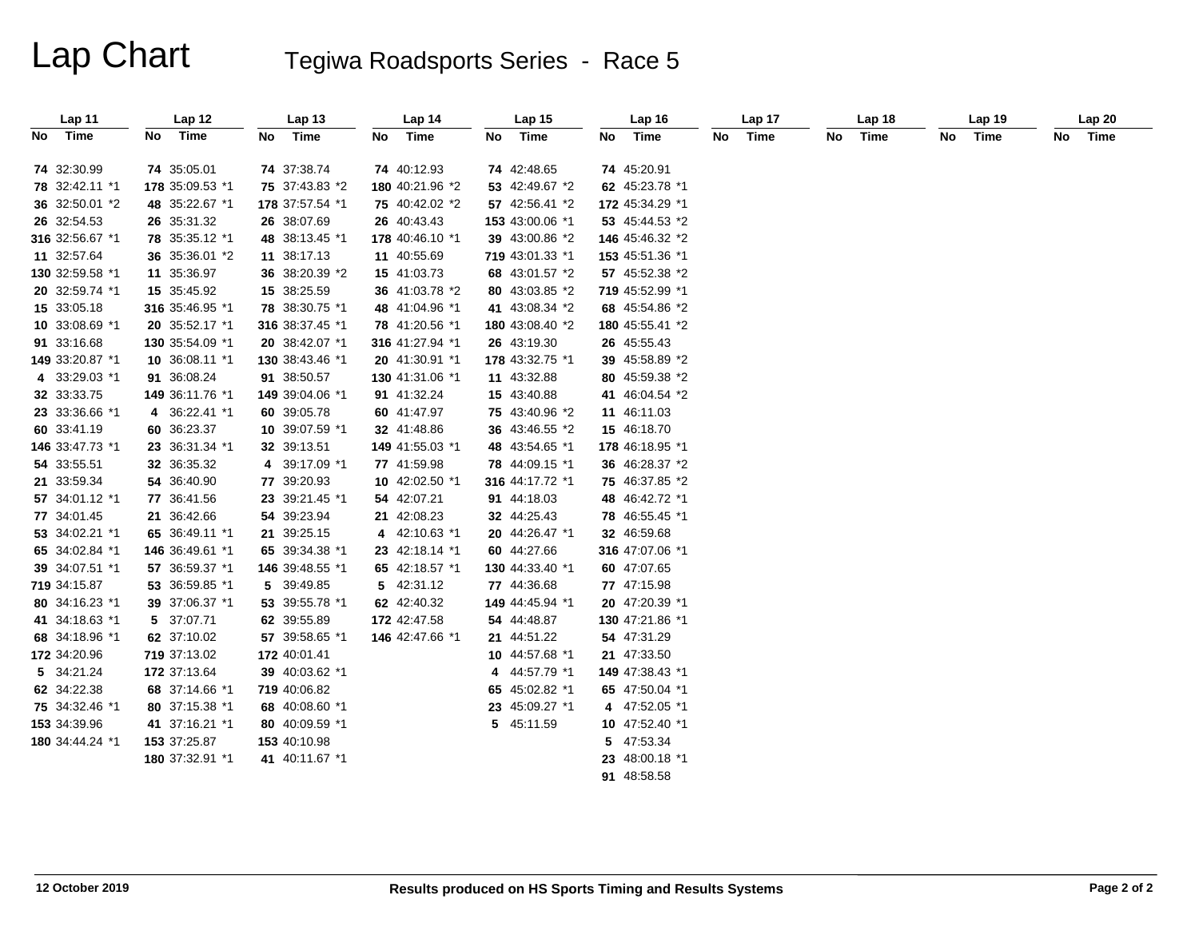# Lap Chart Tegiwa Roadsports Series - Race 5

| Lap 11          |     | Lap 12          | Lap 13          | Lap 14          |    | Lap 15          | Lap 16          |    | Lap 17 |    | Lap 18 |    | Lap 19 | Lap 20  |
|-----------------|-----|-----------------|-----------------|-----------------|----|-----------------|-----------------|----|--------|----|--------|----|--------|---------|
| No Time         | No. | Time            | No Time         | No Time         | No | Time            | No Time         | No | Time   | No | Time   | No | Time   | No Time |
| 74 32:30.99     |     | 74 35:05.01     | 74 37:38.74     | 74 40:12.93     |    | 74 42:48.65     | 74 45:20.91     |    |        |    |        |    |        |         |
| 78 32:42.11 *1  |     | 178 35:09.53 *1 | 75 37:43.83 *2  | 180 40:21.96 *2 |    | 53 42:49.67 *2  | 62 45:23.78 *1  |    |        |    |        |    |        |         |
| 36 32:50.01 *2  |     | 48 35:22.67 *1  | 178 37:57.54 *1 | 75 40:42.02 *2  |    | 57 42:56.41 *2  | 172 45:34.29 *1 |    |        |    |        |    |        |         |
| 26 32:54.53     |     | 26 35:31.32     | 26 38:07.69     | 26 40:43.43     |    | 153 43:00.06 *1 | 53 45:44.53 *2  |    |        |    |        |    |        |         |
| 316 32:56.67 *1 |     | 78 35:35.12 *1  | 48 38:13.45 *1  | 178 40:46.10 *1 |    | 39 43:00.86 *2  | 146 45:46.32 *2 |    |        |    |        |    |        |         |
| 11 32:57.64     |     | 36 35:36.01 *2  | 11 38:17.13     | 11 40:55.69     |    | 719 43:01.33 *1 | 153 45:51.36 *1 |    |        |    |        |    |        |         |
| 130 32:59.58 *1 |     | 11 35:36.97     | 36 38:20.39 *2  | 15 41:03.73     |    | 68 43:01.57 *2  | 57 45:52.38 *2  |    |        |    |        |    |        |         |
| 20 32:59.74 *1  |     | 15 35:45.92     | 15 38:25.59     | 36 41:03.78 *2  |    | 80 43:03.85 *2  | 719 45:52.99 *1 |    |        |    |        |    |        |         |
| 15 33:05.18     |     | 316 35:46.95 *1 | 78 38:30.75 *1  | 48 41:04.96 *1  |    | 41 43:08.34 *2  | 68 45:54.86 *2  |    |        |    |        |    |        |         |
| 10 33:08.69 *1  |     | 20 35:52.17 *1  | 316 38:37.45 *1 | 78 41:20.56 *1  |    | 180 43:08.40 *2 | 180 45:55.41 *2 |    |        |    |        |    |        |         |
| 91 33:16.68     |     | 130 35:54.09 *1 | 20 38:42.07 *1  | 316 41:27.94 *1 |    | 26 43:19.30     | 26 45:55.43     |    |        |    |        |    |        |         |
| 149 33:20.87 *1 |     | 10 36:08.11 *1  | 130 38:43.46 *1 | 20 41:30.91 *1  |    | 178 43:32.75 *1 | 39 45:58.89 *2  |    |        |    |        |    |        |         |
| 4 33:29.03 *1   |     | 91 36:08.24     | 91 38:50.57     | 130 41:31.06 *1 |    | 11 43:32.88     | 80 45:59.38 *2  |    |        |    |        |    |        |         |
| 32 33:33.75     |     | 149 36:11.76 *1 | 149 39:04.06 *1 | 91 41:32.24     |    | 15 43:40.88     | 41 46:04.54 *2  |    |        |    |        |    |        |         |
| 23 33:36.66 *1  |     | 4 36:22.41 *1   | 60 39:05.78     | 60 41:47.97     |    | 75 43:40.96 *2  | 11 46:11.03     |    |        |    |        |    |        |         |
| 60 33:41.19     |     | 60 36:23.37     | 10 39:07.59 *1  | 32 41:48.86     |    | 36 43:46.55 *2  | 15 46:18.70     |    |        |    |        |    |        |         |
| 146 33:47.73 *1 |     | 23 36:31.34 *1  | 32 39:13.51     | 149 41:55.03 *1 |    | 48 43:54.65 *1  | 178 46:18.95 *1 |    |        |    |        |    |        |         |
| 54 33:55.51     |     | 32 36:35.32     | 4 39:17.09 *1   | 77 41:59.98     |    | 78 44:09.15 *1  | 36 46:28.37 *2  |    |        |    |        |    |        |         |
| 21 33:59.34     |     | 54 36:40.90     | 77 39:20.93     | 10 42:02.50 *1  |    | 316 44:17.72 *1 | 75 46:37.85 *2  |    |        |    |        |    |        |         |
| 57 34:01.12 *1  |     | 77 36:41.56     | 23 39:21.45 *1  | 54 42:07.21     |    | 91 44:18.03     | 48 46:42.72 *1  |    |        |    |        |    |        |         |
| 77 34:01.45     |     | 21 36:42.66     | 54 39:23.94     | 21 42:08.23     |    | 32 44:25.43     | 78 46:55.45 *1  |    |        |    |        |    |        |         |
| 53 34:02.21 *1  |     | 65 36:49.11 *1  | 21 39:25.15     | 4 42:10.63 *1   |    | 20 44:26.47 *1  | 32 46:59.68     |    |        |    |        |    |        |         |
| 65 34:02.84 *1  |     | 146 36:49.61 *1 | 65 39:34.38 *1  | 23 42:18.14 *1  |    | 60 44:27.66     | 316 47:07.06 *1 |    |        |    |        |    |        |         |
| 39 34:07.51 *1  |     | 57 36:59.37 *1  | 146 39:48.55 *1 | 65 42:18.57 *1  |    | 130 44:33.40 *1 | 60 47:07.65     |    |        |    |        |    |        |         |
| 719 34:15.87    |     | 53 36:59.85 *1  | 5 39:49.85      | 5 42:31.12      |    | 77 44:36.68     | 77 47:15.98     |    |        |    |        |    |        |         |
| 80 34:16.23 *1  |     | 39 37:06.37 *1  | 53 39:55.78 *1  | 62 42:40.32     |    | 149 44:45.94 *1 | 20 47:20.39 *1  |    |        |    |        |    |        |         |
| 41 34:18.63 *1  |     | 5 37:07.71      | 62 39:55.89     | 172 42:47.58    |    | 54 44:48.87     | 130 47:21.86 *1 |    |        |    |        |    |        |         |
| 68 34:18.96 *1  |     | 62 37:10.02     | 57 39:58.65 *1  | 146 42:47.66 *1 |    | 21 44:51.22     | 54 47:31.29     |    |        |    |        |    |        |         |
| 172 34:20.96    |     | 719 37:13.02    | 172 40:01.41    |                 |    | 10 44:57.68 *1  | 21 47:33.50     |    |        |    |        |    |        |         |
| 5 34:21.24      |     | 172 37:13.64    | 39 40:03.62 *1  |                 |    | 4 44:57.79 *1   | 149 47:38.43 *1 |    |        |    |        |    |        |         |
| 62 34:22.38     |     | 68 37:14.66 *1  | 719 40:06.82    |                 |    | 65 45:02.82 *1  | 65 47:50.04 *1  |    |        |    |        |    |        |         |
| 75 34:32.46 *1  |     | 80 37:15.38 *1  | 68 40:08.60 *1  |                 |    | 23 45:09.27 *1  | 4 47:52.05 *1   |    |        |    |        |    |        |         |
| 153 34:39.96    |     | 41 37:16.21 *1  | 80 40:09.59 *1  |                 |    | 5 45:11.59      | 10 47:52.40 *1  |    |        |    |        |    |        |         |
| 180 34:44.24 *1 |     | 153 37:25.87    | 153 40:10.98    |                 |    |                 | 5 47:53.34      |    |        |    |        |    |        |         |
|                 |     | 180 37:32.91 *1 | 41 40:11.67 *1  |                 |    |                 | 23 48:00.18 *1  |    |        |    |        |    |        |         |
|                 |     |                 |                 |                 |    |                 | 91 48:58.58     |    |        |    |        |    |        |         |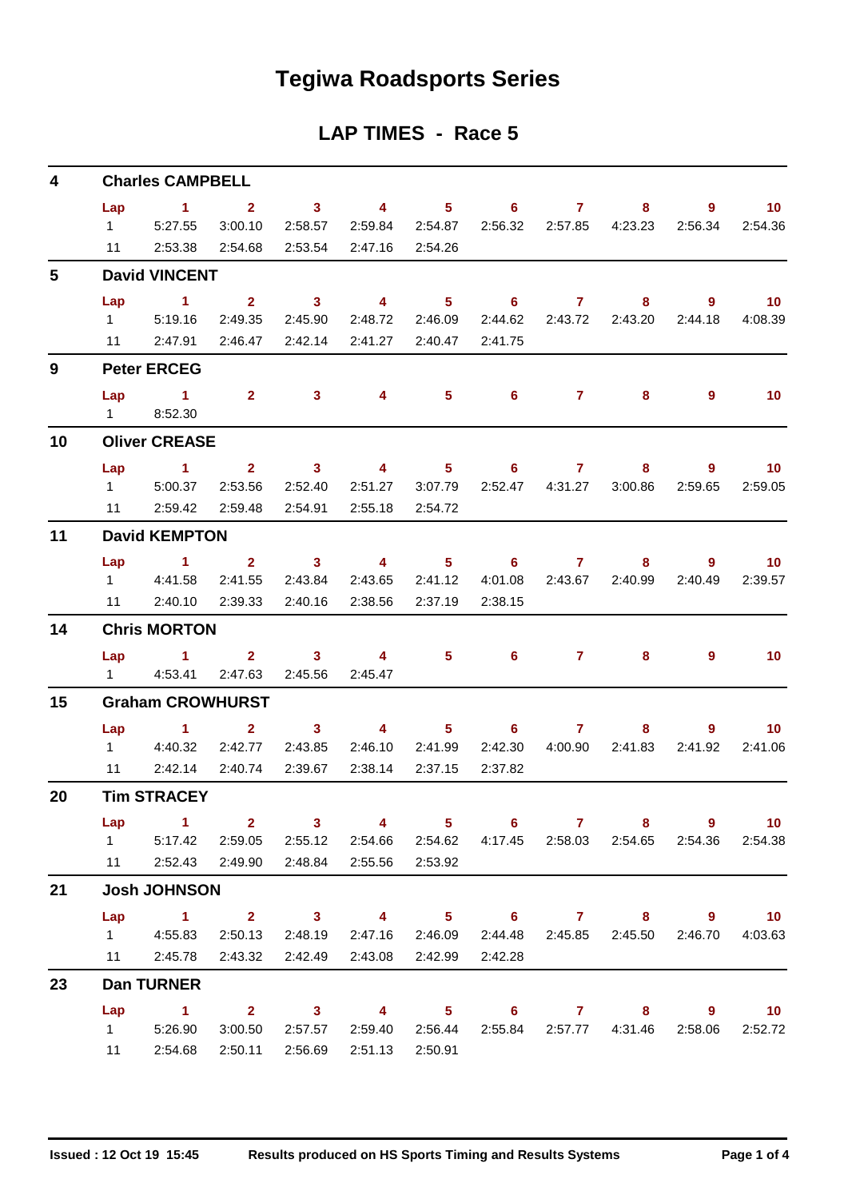# **Tegiwa Roadsports Series**

### **LAP TIMES - Race 5**

| 4               |           | <b>Charles CAMPBELL</b>                                                                                               |                               |                         |                                 |                            |                                                                        |                           |                 |                |                 |
|-----------------|-----------|-----------------------------------------------------------------------------------------------------------------------|-------------------------------|-------------------------|---------------------------------|----------------------------|------------------------------------------------------------------------|---------------------------|-----------------|----------------|-----------------|
|                 | Lap       |                                                                                                                       | $\overline{1}$ $\overline{2}$ | $\overline{\mathbf{3}}$ |                                 |                            | 4 5 6 7                                                                |                           | 8               | 9              | 10              |
|                 |           | 1 5:27.55                                                                                                             | 3:00.10                       | 2:58.57                 |                                 | 2:59.84 2:54.87            |                                                                        | 2:56.32 2:57.85 4:23.23   |                 | 2:56.34        | 2:54.36         |
|                 |           | 11 2:53.38                                                                                                            | 2:54.68 2:53.54               |                         | 2:47.16 2:54.26                 |                            |                                                                        |                           |                 |                |                 |
| $5\phantom{.0}$ |           | <b>David VINCENT</b>                                                                                                  |                               |                         |                                 |                            |                                                                        |                           |                 |                |                 |
|                 | Lap       | $\sim$ 1.                                                                                                             | 2 <sup>1</sup>                | $\sim$ 3                | $\sim$ 4                        | $\overline{\phantom{1}}$ 5 | $\overline{\phantom{a}}$ 6                                             | $\overline{7}$            | 8               | 9              | $\overline{10}$ |
|                 |           | 1 5:19.16                                                                                                             | 2:49.35                       | 2:45.90                 | 2:48.72                         | 2:46.09                    |                                                                        | 2:44.62 2:43.72 2:43.20   |                 | 2:44.18        | 4:08.39         |
|                 |           | 11 2:47.91 2:46.47 2:42.14                                                                                            |                               |                         |                                 | 2:41.27 2:40.47            | 2:41.75                                                                |                           |                 |                |                 |
| 9               |           | <b>Peter ERCEG</b>                                                                                                    |                               |                         |                                 |                            |                                                                        |                           |                 |                |                 |
|                 | Lap       | $\sim$ $\sim$ $\sim$ 1.100 $\sim$                                                                                     |                               |                         |                                 |                            | 2 3 4 5 6 7                                                            |                           | 8.              | 9              | 10              |
|                 |           | 1 8:52.30                                                                                                             |                               |                         |                                 |                            |                                                                        |                           |                 |                |                 |
| 10              |           | <b>Oliver CREASE</b>                                                                                                  |                               |                         |                                 |                            |                                                                        |                           |                 |                |                 |
|                 |           | Lap 1 2 3 4 5 6 7                                                                                                     |                               |                         |                                 |                            |                                                                        |                           | 8               | $\overline{9}$ | $\overline{10}$ |
|                 |           | 1 5:00.37                                                                                                             | 2:53.56                       | 2:52.40                 |                                 | 2:51.27 3:07.79            |                                                                        | 2:52.47  4:31.27  3:00.86 |                 | 2:59.65        | 2:59.05         |
|                 |           | 11 2:59.42                                                                                                            | 2:59.48                       | 2:54.91                 | 2:55.18                         | 2:54.72                    |                                                                        |                           |                 |                |                 |
| 11              |           | <b>David KEMPTON</b>                                                                                                  |                               |                         |                                 |                            |                                                                        |                           |                 |                |                 |
|                 | Lap       | <b>Contract Advised Advised Advised Advised Advised Advised Advised Advised Advised Advised Advised Advised Advis</b> |                               | $2 \t 3$                |                                 |                            | 4 5 6 7                                                                |                           | 8               | $9^{\circ}$    | 10 <sup>°</sup> |
|                 |           | 1 4:41.58 2:41.55                                                                                                     |                               | 2:43.84                 |                                 | 2:43.65 2:41.12            |                                                                        | 4:01.08  2:43.67  2:40.99 |                 | 2:40.49        | 2:39.57         |
|                 |           | 11 2:40.10 2:39.33                                                                                                    |                               | 2:40.16                 | 2:38.56                         | 2:37.19                    | 2:38.15                                                                |                           |                 |                |                 |
| 14              |           | <b>Chris MORTON</b>                                                                                                   |                               |                         |                                 |                            |                                                                        |                           |                 |                |                 |
|                 |           | Lap 1                                                                                                                 |                               |                         | $2 \qquad 3 \qquad 4$           |                            | $5 \t\t 6 \t\t 7$                                                      |                           | 8               | 9              | 10              |
|                 | $1 \quad$ | 4:53.41                                                                                                               | 2:47.63                       | 2:45.56                 | 2:45.47                         |                            |                                                                        |                           |                 |                |                 |
| 15              |           | <b>Graham CROWHURST</b>                                                                                               |                               |                         |                                 |                            |                                                                        |                           |                 |                |                 |
|                 | Lap       | $\sim$ 1                                                                                                              | $\mathbf{2}$                  | 3 <sup>7</sup>          | $\sim$ 4                        | $5 -$                      | $\overline{\phantom{a}}$ 6                                             | $\mathbf{7}$              | 8.              | 9              | 10              |
|                 |           | $1 \quad 4:40.32$                                                                                                     | 2:42.77                       | 2:43.85                 |                                 | 2:46.10 2:41.99            | 2:42.30                                                                |                           | 4:00.90 2:41.83 | 2:41.92        | 2:41.06         |
|                 |           | 11 2:42.14 2:40.74 2:39.67                                                                                            |                               |                         | 2:38.14 2:37.15                 |                            | 2:37.82                                                                |                           |                 |                |                 |
| 20              |           | <b>Tim STRACEY</b>                                                                                                    |                               |                         |                                 |                            |                                                                        |                           |                 |                |                 |
|                 | Lap       | $\sim$ $-1$                                                                                                           | $2 \t 3$                      |                         | $\sim$ 4                        |                            | 5 6 7 8 9 10                                                           |                           |                 |                |                 |
|                 |           | 1 5:17.42 2:59.05 2:55.12 2:54.66 2:54.62 4:17.45 2:58.03 2:54.65 2:54.36 2:54.38                                     |                               |                         |                                 |                            |                                                                        |                           |                 |                |                 |
|                 |           | 11  2:52.43  2:49.90  2:48.84  2:55.56  2:53.92                                                                       |                               |                         |                                 |                            |                                                                        |                           |                 |                |                 |
| 21              |           | <b>Josh JOHNSON</b>                                                                                                   |                               |                         |                                 |                            |                                                                        |                           |                 |                |                 |
|                 |           | Lap 1 2 3 4 5 6 7 8 9 10                                                                                              |                               |                         |                                 |                            |                                                                        |                           |                 |                |                 |
|                 |           | 1 4:55.83                                                                                                             |                               |                         |                                 |                            | 2:50.13 2:48.19 2:47.16 2:46.09 2:44.48 2:45.85 2:45.50 2:46.70        |                           |                 |                | 4:03.63         |
|                 |           | 11  2:45.78  2:43.32  2:42.49  2:43.08  2:42.99                                                                       |                               |                         |                                 |                            | 2:42.28                                                                |                           |                 |                |                 |
| 23              |           | <b>Dan TURNER</b>                                                                                                     |                               |                         |                                 |                            |                                                                        |                           |                 |                |                 |
|                 |           | Lap 1 2 3 4 5 6 7 8 9 10                                                                                              |                               |                         |                                 |                            |                                                                        |                           |                 |                |                 |
|                 |           | 1 5:26.90                                                                                                             |                               |                         |                                 |                            | 3:00.50  2:57.57  2:59.40  2:56.44  2:55.84  2:57.77  4:31.46  2:58.06 |                           |                 |                | 2:52.72         |
|                 |           | 11 2:54.68                                                                                                            |                               |                         | 2:50.11 2:56.69 2:51.13 2:50.91 |                            |                                                                        |                           |                 |                |                 |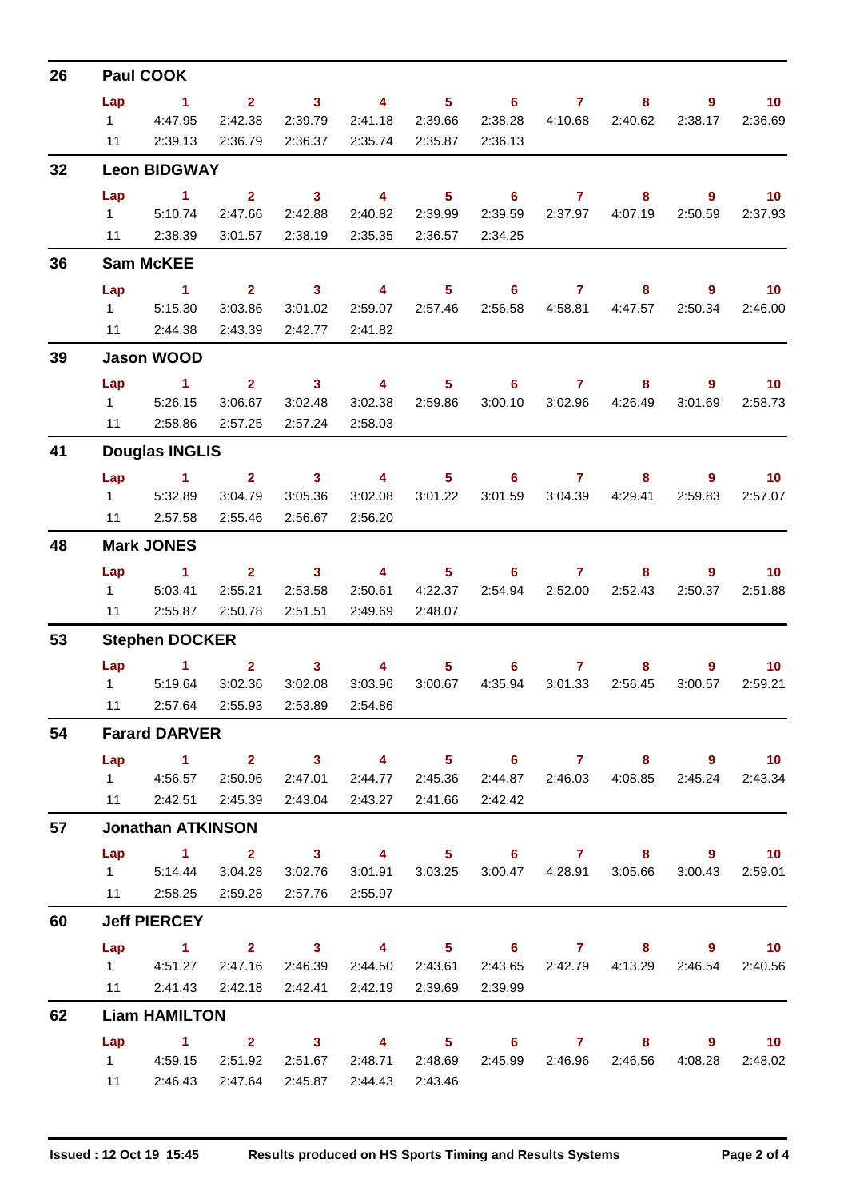| 26 | <b>Paul COOK</b>                        |                                                 |                         |                         |                           |                 |                                   |                 |                                                 |                                 |                              |  |  |
|----|-----------------------------------------|-------------------------------------------------|-------------------------|-------------------------|---------------------------|-----------------|-----------------------------------|-----------------|-------------------------------------------------|---------------------------------|------------------------------|--|--|
|    | Lap                                     | $\sim$ 1                                        | $\overline{\mathbf{2}}$ | $\overline{\mathbf{3}}$ | $\sim$ 4                  | 5 <sub>1</sub>  | $\overline{\phantom{0}}$ 6        | $\mathbf{7}$    | 8                                               | 9                               | 10 <sup>°</sup>              |  |  |
|    | $1 \quad$                               | 4:47.95                                         | 2:42.38                 | 2:39.79                 | 2:41.18                   | 2:39.66         | 2:38.28                           | 4:10.68         | 2:40.62                                         | 2:38.17                         | 2:36.69                      |  |  |
|    | 11                                      | 2:39.13                                         | 2:36.79                 | 2:36.37                 |                           | 2:35.74 2:35.87 | 2:36.13                           |                 |                                                 |                                 |                              |  |  |
| 32 |                                         | <b>Leon BIDGWAY</b>                             |                         |                         |                           |                 |                                   |                 |                                                 |                                 |                              |  |  |
|    | Lap                                     | $\sim$ 1                                        | $\mathbf{2}$            | $\overline{\mathbf{3}}$ | $\overline{4}$            | 5 <sup>1</sup>  | $\overline{\phantom{0}}$ 6        | $\mathbf{7}$    | 8                                               | $9^{\circ}$                     | 10 <sup>°</sup>              |  |  |
|    | $1 \quad \Box$                          | 5:10.74                                         | 2:47.66                 | 2:42.88                 | 2:40.82                   | 2:39.99         | 2:39.59                           |                 | 2:37.97 4:07.19                                 | 2:50.59                         | 2:37.93                      |  |  |
|    | 11                                      | 2:38.39                                         | 3:01.57                 | 2:38.19                 | 2:35.35                   | 2:36.57         | 2:34.25                           |                 |                                                 |                                 |                              |  |  |
| 36 | <b>Sam McKEE</b>                        |                                                 |                         |                         |                           |                 |                                   |                 |                                                 |                                 |                              |  |  |
|    | Lap                                     | $\sim$ 1                                        | $\mathbf{2}$            | $\overline{\mathbf{3}}$ | $\sim$ 4                  | $5 -$           | $\overline{6}$ and $\overline{7}$ |                 | 8                                               | 9                               | $\blacksquare$ 10            |  |  |
|    |                                         | 1 5:15.30                                       | 3:03.86                 | 3:01.02                 | 2:59.07                   | 2:57.46         |                                   | 2:56.58 4:58.81 | 4:47.57                                         | 2:50.34                         | 2:46.00                      |  |  |
|    | 11                                      | 2:44.38                                         | 2:43.39                 | 2:42.77                 | 2:41.82                   |                 |                                   |                 |                                                 |                                 |                              |  |  |
| 39 |                                         | <b>Jason WOOD</b>                               |                         |                         |                           |                 |                                   |                 |                                                 |                                 |                              |  |  |
|    | Lap                                     | $\sim$ 1                                        | 2 <sup>2</sup>          | $\sim$ 3                | $\overline{4}$            | 5 <sub>1</sub>  | 6 <sub>1</sub>                    | $\sim$ 7        | 8                                               | $9^{\circ}$                     | 10                           |  |  |
|    |                                         | 1 5:26.15                                       | 3:06.67                 | 3:02.48                 | 3:02.38                   | 2:59.86         |                                   |                 | 3:00.10 3:02.96 4:26.49                         | 3:01.69                         | 2:58.73                      |  |  |
|    | 11                                      | 2:58.86                                         | 2:57.25                 | 2:57.24                 | 2:58.03                   |                 |                                   |                 |                                                 |                                 |                              |  |  |
| 41 | <b>Douglas INGLIS</b>                   |                                                 |                         |                         |                           |                 |                                   |                 |                                                 |                                 |                              |  |  |
|    | Lap                                     | $\sim$ $-1$                                     |                         | $2 \t 3$                | $\overline{4}$            |                 | $5 \t\t 6$                        | $\overline{7}$  | 8                                               | 9                               | 10 <sup>°</sup>              |  |  |
|    | $1 \quad \Box$                          | 5:32.89                                         | 3:04.79                 | 3:05.36                 | 3:02.08                   | 3:01.22         | 3:01.59                           | 3:04.39         | 4:29.41                                         | 2:59.83                         | 2:57.07                      |  |  |
|    | 11                                      | 2:57.58                                         | 2:55.46                 | 2:56.67                 | 2:56.20                   |                 |                                   |                 |                                                 |                                 |                              |  |  |
| 48 | <b>Mark JONES</b>                       |                                                 |                         |                         |                           |                 |                                   |                 |                                                 |                                 |                              |  |  |
|    | Lap                                     | $\sim$ 1.                                       | $\mathbf{2}$            | $\sim$ 3                | $\overline{4}$            | $5 -$           | 6                                 | $\overline{7}$  | 8                                               | 9                               | 10                           |  |  |
|    | $1 \quad \Box$                          | 5:03.41                                         | 2:55.21                 | 2:53.58                 | 2:50.61                   | 4:22.37         |                                   |                 | 2:54.94 2:52.00 2:52.43                         | 2:50.37                         | 2:51.88                      |  |  |
|    | 11                                      | 2:55.87                                         | 2:50.78                 | 2:51.51                 | 2:49.69                   | 2:48.07         |                                   |                 |                                                 |                                 |                              |  |  |
| 53 | <b>Stephen DOCKER</b>                   |                                                 |                         |                         |                           |                 |                                   |                 |                                                 |                                 |                              |  |  |
|    |                                         | $Lap$ 1                                         | $\overline{2}$          | $\mathbf{3}$            | 4                         | $5 -$           | 6                                 | $\mathbf{7}$    | 8                                               | 9                               | 10 <sup>°</sup>              |  |  |
|    | $1 \quad \Box$                          | 5:19.64                                         | 3:02.36                 | 3:02.08                 | 3:03.96                   | 3:00.67         | 4:35.94                           | 3:01.33         | 2:56.45                                         | 3:00.57                         | 2:59.21                      |  |  |
|    | $11 -$                                  |                                                 | 2:57.64 2:55.93         | 2:53.89                 | 2:54.86                   |                 |                                   |                 |                                                 |                                 |                              |  |  |
| 54 |                                         | <b>Farard DARVER</b>                            |                         |                         |                           |                 |                                   |                 |                                                 |                                 |                              |  |  |
|    |                                         | Lap 1 2 3 4 5 6 7 8 9 10                        |                         |                         |                           |                 |                                   |                 |                                                 |                                 |                              |  |  |
|    |                                         | 1 4:56.57 2:50.96                               |                         | 2:47.01                 |                           | 2:44.77 2:45.36 |                                   |                 | 2:44.87 2:46.03 4:08.85                         |                                 | 2:45.24 2:43.34              |  |  |
|    |                                         | 11 2:42.51 2:45.39                              |                         |                         | 2:43.04 2:43.27 2:41.66   |                 | 2:42.42                           |                 |                                                 |                                 |                              |  |  |
| 57 | <b>Jonathan ATKINSON</b>                |                                                 |                         |                         |                           |                 |                                   |                 |                                                 |                                 |                              |  |  |
|    | Lap                                     | 1 2 3 4 5 6 7 8 9 10                            |                         |                         |                           |                 |                                   |                 |                                                 |                                 |                              |  |  |
|    |                                         | 1 5:14.44 3:04.28                               |                         |                         |                           |                 |                                   |                 | 3:02.76 3:01.91 3:03.25 3:00.47 4:28.91 3:05.66 | 3:00.43                         | 2:59.01                      |  |  |
|    |                                         | 11 2:58.25 2:59.28                              |                         | 2:57.76                 | 2:55.97                   |                 |                                   |                 |                                                 |                                 |                              |  |  |
| 60 | <b>Jeff PIERCEY</b>                     |                                                 |                         |                         |                           |                 |                                   |                 |                                                 |                                 |                              |  |  |
|    |                                         | Lap 1 2 3 4 5 6 7 8 9 10                        |                         |                         |                           |                 |                                   |                 |                                                 |                                 |                              |  |  |
|    |                                         | 1 4:51.27                                       | 2:47.16                 | 2:46.39                 | 2:44.50 2:43.61           |                 |                                   |                 | 2:43.65 2:42.79 4:13.29                         |                                 | 2:46.54 2:40.56              |  |  |
|    |                                         | 11  2:41.43  2:42.18  2:42.41  2:42.19  2:39.69 |                         |                         |                           |                 | 2:39.99                           |                 |                                                 |                                 |                              |  |  |
| 62 | <b>Liam HAMILTON</b><br>1 2 3 4 5 6 7 8 |                                                 |                         |                         |                           |                 |                                   |                 |                                                 |                                 |                              |  |  |
|    | Lap                                     | 1 4:59.15 2:51.92                               |                         |                         | 2:51.67  2:48.71  2:48.69 |                 |                                   |                 |                                                 | 2:45.99 2:46.96 2:46.56 4:08.28 | $9^{\circ}$<br>10<br>2:48.02 |  |  |
|    |                                         | 11 2:46.43 2:47.64                              |                         | 2:45.87                 | 2:44.43 2:43.46           |                 |                                   |                 |                                                 |                                 |                              |  |  |
|    |                                         |                                                 |                         |                         |                           |                 |                                   |                 |                                                 |                                 |                              |  |  |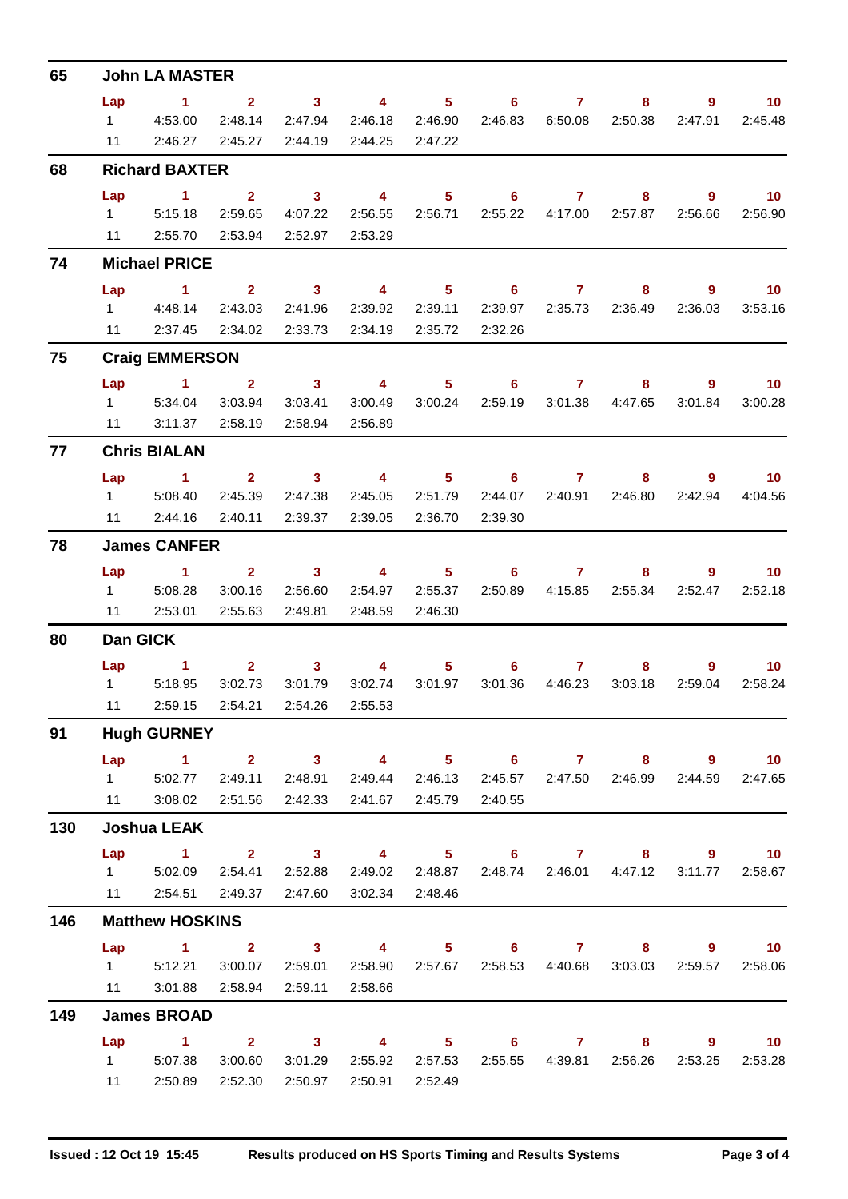| 65  | <b>John LA MASTER</b>  |                                                                           |                 |                                                                                                                                                                                                                                                                                                                                                                                                            |                                               |                         |                                 |                                   |                           |                                                      |                   |  |  |
|-----|------------------------|---------------------------------------------------------------------------|-----------------|------------------------------------------------------------------------------------------------------------------------------------------------------------------------------------------------------------------------------------------------------------------------------------------------------------------------------------------------------------------------------------------------------------|-----------------------------------------------|-------------------------|---------------------------------|-----------------------------------|---------------------------|------------------------------------------------------|-------------------|--|--|
|     | Lap                    | $\sim$ 1                                                                  |                 | $2 \t 3$                                                                                                                                                                                                                                                                                                                                                                                                   | $\sim$ 4 and $\sim$ 4 and $\sim$ 4 and $\sim$ |                         | $5 \t\t 6$                      | $\mathbf{7}$                      | 8                         | 9                                                    | 10 <sup>°</sup>   |  |  |
|     | $1 \quad \Box$         | 4:53.00                                                                   | 2:48.14         | 2:47.94                                                                                                                                                                                                                                                                                                                                                                                                    | 2:46.18                                       | 2:46.90                 | 2:46.83                         |                                   | 6:50.08 2:50.38           | 2:47.91                                              | 2:45.48           |  |  |
|     | 11                     | 2:46.27                                                                   | 2:45.27         | 2:44.19                                                                                                                                                                                                                                                                                                                                                                                                    | 2:44.25 2:47.22                               |                         |                                 |                                   |                           |                                                      |                   |  |  |
| 68  | <b>Richard BAXTER</b>  |                                                                           |                 |                                                                                                                                                                                                                                                                                                                                                                                                            |                                               |                         |                                 |                                   |                           |                                                      |                   |  |  |
|     | Lap                    | $\blacktriangleleft$                                                      | $\mathbf{2}$    | $\sim$ 3                                                                                                                                                                                                                                                                                                                                                                                                   | $\overline{4}$                                | $5 -$                   | 6                               | $\mathbf{7}$                      | 8.                        | 9                                                    | 10 <sub>1</sub>   |  |  |
|     |                        | 1 5:15.18                                                                 | 2:59.65         | 4:07.22                                                                                                                                                                                                                                                                                                                                                                                                    | 2:56.55                                       | 2:56.71                 |                                 | 2:55.22 4:17.00                   | 2:57.87                   | 2:56.66                                              | 2:56.90           |  |  |
|     | 11                     | 2:55.70                                                                   | 2:53.94         | 2:52.97                                                                                                                                                                                                                                                                                                                                                                                                    | 2:53.29                                       |                         |                                 |                                   |                           |                                                      |                   |  |  |
| 74  |                        | <b>Michael PRICE</b>                                                      |                 |                                                                                                                                                                                                                                                                                                                                                                                                            |                                               |                         |                                 |                                   |                           |                                                      |                   |  |  |
|     | Lap                    | $\sim$ 1                                                                  |                 | $2 \t 3 \t 4$                                                                                                                                                                                                                                                                                                                                                                                              |                                               |                         | $5 \t\t 6$                      | $\overline{7}$                    | 8                         | 9                                                    | $\blacksquare$ 10 |  |  |
|     |                        | 1 4:48.14                                                                 | 2:43.03         | 2:41.96                                                                                                                                                                                                                                                                                                                                                                                                    | 2:39.92                                       | 2:39.11                 | 2:39.97                         |                                   | 2:35.73 2:36.49           | 2:36.03                                              | 3:53.16           |  |  |
|     | 11                     | 2:37.45                                                                   | 2:34.02         | 2:33.73                                                                                                                                                                                                                                                                                                                                                                                                    | 2:34.19                                       | 2:35.72                 | 2:32.26                         |                                   |                           |                                                      |                   |  |  |
| 75  |                        | <b>Craig EMMERSON</b>                                                     |                 |                                                                                                                                                                                                                                                                                                                                                                                                            |                                               |                         |                                 |                                   |                           |                                                      |                   |  |  |
|     | Lap                    | $\blacktriangleleft$                                                      | $2^{\circ}$     | $\sim$ 3                                                                                                                                                                                                                                                                                                                                                                                                   | $\overline{\mathbf{4}}$                       | 5 <sub>1</sub>          |                                 | $6 \t 7$                          | 8                         | $9^{\circ}$                                          | 10 <sub>1</sub>   |  |  |
|     |                        | 1 5:34.04                                                                 | 3:03.94         | 3:03.41                                                                                                                                                                                                                                                                                                                                                                                                    | 3:00.49                                       | 3:00.24                 |                                 | 2:59.19 3:01.38                   | 4:47.65                   | 3:01.84                                              | 3:00.28           |  |  |
|     | 11                     | 3:11.37                                                                   | 2:58.19         | 2:58.94                                                                                                                                                                                                                                                                                                                                                                                                    | 2:56.89                                       |                         |                                 |                                   |                           |                                                      |                   |  |  |
| 77  | <b>Chris BIALAN</b>    |                                                                           |                 |                                                                                                                                                                                                                                                                                                                                                                                                            |                                               |                         |                                 |                                   |                           |                                                      |                   |  |  |
|     | Lap                    | $\sim$ 1                                                                  | $2^{\circ}$     |                                                                                                                                                                                                                                                                                                                                                                                                            | $3 \qquad \qquad 4$                           |                         | $5 \t\t 6 \t\t 7$               |                                   | 8                         | 9                                                    | $\sim$ 10         |  |  |
|     |                        | 1 5:08.40                                                                 | 2:45.39         | 2:47.38                                                                                                                                                                                                                                                                                                                                                                                                    | 2:45.05                                       | 2:51.79                 | 2:44.07                         | 2:40.91                           | 2:46.80                   | 2:42.94                                              | 4:04.56           |  |  |
|     | 11                     | 2:44.16                                                                   | 2:40.11         | 2:39.37                                                                                                                                                                                                                                                                                                                                                                                                    | 2:39.05                                       | 2:36.70                 | 2:39.30                         |                                   |                           |                                                      |                   |  |  |
| 78  | <b>James CANFER</b>    |                                                                           |                 |                                                                                                                                                                                                                                                                                                                                                                                                            |                                               |                         |                                 |                                   |                           |                                                      |                   |  |  |
|     | Lap                    | $\sim$ 1                                                                  | $\mathbf{2}$    | $\sim$ 3                                                                                                                                                                                                                                                                                                                                                                                                   | $\overline{\mathbf{4}}$                       | $5 -$                   |                                 | $6 \qquad \qquad 7 \qquad \qquad$ | 8                         | 9                                                    | 10 <sup>°</sup>   |  |  |
|     |                        | 1 5:08.28                                                                 | 3:00.16         | 2:56.60                                                                                                                                                                                                                                                                                                                                                                                                    | 2:54.97                                       | 2:55.37                 |                                 |                                   | 2:50.89  4:15.85  2:55.34 | 2:52.47                                              | 2:52.18           |  |  |
|     | 11                     | 2:53.01                                                                   | 2:55.63         | 2:49.81                                                                                                                                                                                                                                                                                                                                                                                                    | 2:48.59                                       | 2:46.30                 |                                 |                                   |                           |                                                      |                   |  |  |
| 80  |                        | Dan GICK                                                                  |                 |                                                                                                                                                                                                                                                                                                                                                                                                            |                                               |                         |                                 |                                   |                           |                                                      |                   |  |  |
|     |                        | <b>Lap</b><br>$\blacktriangleleft$                                        |                 | $\overline{\mathbf{2}}$ and $\overline{\mathbf{2}}$ and $\overline{\mathbf{2}}$ and $\overline{\mathbf{2}}$ and $\overline{\mathbf{2}}$ and $\overline{\mathbf{2}}$ and $\overline{\mathbf{2}}$ and $\overline{\mathbf{2}}$ and $\overline{\mathbf{2}}$ and $\overline{\mathbf{2}}$ and $\overline{\mathbf{2}}$ and $\overline{\mathbf{2}}$ and $\overline{\mathbf{2}}$ and $\overline{\mathbf{2}}$ a<br>3 | 4                                             | $5 -$                   | 6                               | $\mathbf{7}$                      | 8                         | 9                                                    | 10 <sup>°</sup>   |  |  |
|     | $1 \quad \Box$         | 5:18.95                                                                   | 3:02.73         | 3:01.79                                                                                                                                                                                                                                                                                                                                                                                                    | 3:02.74                                       | 3:01.97                 |                                 | 3:01.36 4:46.23                   | 3:03.18                   | 2:59.04                                              | 2:58.24           |  |  |
|     | 11                     |                                                                           |                 | 2:59.15 2:54.21 2:54.26                                                                                                                                                                                                                                                                                                                                                                                    | 2:55.53                                       |                         |                                 |                                   |                           |                                                      |                   |  |  |
| 91  | <b>Hugh GURNEY</b>     |                                                                           |                 |                                                                                                                                                                                                                                                                                                                                                                                                            |                                               |                         |                                 |                                   |                           |                                                      |                   |  |  |
|     | Lap                    | 1 2 3 4 5 6 7 8 9 10                                                      |                 |                                                                                                                                                                                                                                                                                                                                                                                                            |                                               |                         |                                 |                                   |                           |                                                      |                   |  |  |
|     |                        | 1 5:02.77                                                                 | 2:49.11         |                                                                                                                                                                                                                                                                                                                                                                                                            |                                               | 2:48.91 2:49.44 2:46.13 |                                 |                                   | 2:45.57  2:47.50  2:46.99 | 2:44.59                                              | 2:47.65           |  |  |
|     |                        | 11   3:08.02   2:51.56   2:42.33   2:41.67   2:45.79                      |                 |                                                                                                                                                                                                                                                                                                                                                                                                            |                                               |                         | 2:40.55                         |                                   |                           |                                                      |                   |  |  |
| 130 | <b>Joshua LEAK</b>     |                                                                           |                 |                                                                                                                                                                                                                                                                                                                                                                                                            |                                               |                         |                                 |                                   |                           |                                                      |                   |  |  |
|     | Lap                    | 1 2 3 4 5 6 7 8 9 10                                                      |                 |                                                                                                                                                                                                                                                                                                                                                                                                            |                                               |                         |                                 |                                   |                           |                                                      |                   |  |  |
|     |                        | 1 5:02.09 2:54.41 2:52.88 2:49.02 2:48.87 2:48.74 2:46.01 4:47.12 3:11.77 |                 |                                                                                                                                                                                                                                                                                                                                                                                                            |                                               |                         |                                 |                                   |                           |                                                      | 2:58.67           |  |  |
|     |                        | 11  2:54.51  2:49.37                                                      |                 | 2:47.60                                                                                                                                                                                                                                                                                                                                                                                                    | 3:02.34 2:48.46                               |                         |                                 |                                   |                           |                                                      |                   |  |  |
| 146 | <b>Matthew HOSKINS</b> |                                                                           |                 |                                                                                                                                                                                                                                                                                                                                                                                                            |                                               |                         |                                 |                                   |                           |                                                      |                   |  |  |
|     |                        | Lap 1 2 3 4 5 6 7 8 9 10                                                  |                 |                                                                                                                                                                                                                                                                                                                                                                                                            |                                               |                         |                                 |                                   |                           |                                                      |                   |  |  |
|     |                        | 1 5:12.21 3:00.07                                                         |                 | 2:59.01                                                                                                                                                                                                                                                                                                                                                                                                    | 2:58.90                                       |                         | 2:57.67 2:58.53 4:40.68 3:03.03 |                                   |                           | 2:59.57                                              | 2:58.06           |  |  |
|     |                        | 11 3:01.88 2:58.94                                                        |                 | 2:59.11                                                                                                                                                                                                                                                                                                                                                                                                    | 2:58.66                                       |                         |                                 |                                   |                           |                                                      |                   |  |  |
| 149 | <b>James BROAD</b>     |                                                                           |                 |                                                                                                                                                                                                                                                                                                                                                                                                            |                                               |                         |                                 |                                   |                           |                                                      |                   |  |  |
|     | Lap                    | 1 2 3 4 5 6 7 8 9 10                                                      |                 |                                                                                                                                                                                                                                                                                                                                                                                                            |                                               |                         |                                 |                                   |                           |                                                      |                   |  |  |
|     |                        | 1 5:07.38 3:00.60                                                         |                 | 3:01.29                                                                                                                                                                                                                                                                                                                                                                                                    |                                               |                         |                                 |                                   |                           | 2:55.92  2:57.53  2:55.55  4:39.81  2:56.26  2:53.25 | 2:53.28           |  |  |
|     | 11                     |                                                                           | 2:50.89 2:52.30 | 2:50.97                                                                                                                                                                                                                                                                                                                                                                                                    |                                               | 2:50.91 2:52.49         |                                 |                                   |                           |                                                      |                   |  |  |